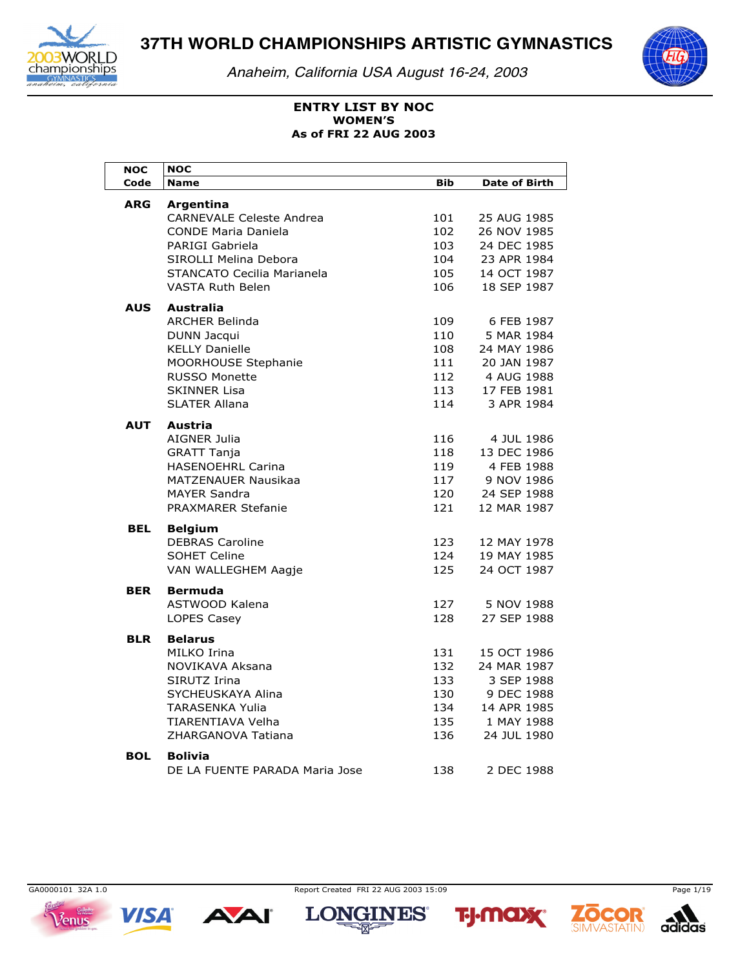

*Anaheim, California USA August 16-24, 2003*



### **ENTRY LIST BY NOC As of FRI 22 AUG 2003 WOMEN'S**

| <b>NOC</b> | <b>NOC</b>                                       |            |                            |
|------------|--------------------------------------------------|------------|----------------------------|
| Code       | <b>Name</b>                                      | <b>Bib</b> | <b>Date of Birth</b>       |
| <b>ARG</b> | Argentina                                        |            |                            |
|            | <b>CARNEVALE Celeste Andrea</b>                  | 101        | 25 AUG 1985                |
|            | <b>CONDE Maria Daniela</b>                       | 102        | 26 NOV 1985                |
|            | PARIGI Gabriela                                  | 103        | 24 DEC 1985                |
|            | SIROLLI Melina Debora                            | 104        | 23 APR 1984                |
|            | STANCATO Cecilia Marianela                       | 105        | 14 OCT 1987                |
|            | <b>VASTA Ruth Belen</b>                          | 106        | 18 SEP 1987                |
| AUS        | Australia                                        |            |                            |
|            | <b>ARCHER Belinda</b>                            | 109        | 6 FEB 1987                 |
|            | DUNN Jacqui                                      | 110        | 5 MAR 1984                 |
|            | <b>KELLY Danielle</b>                            | 108        | 24 MAY 1986                |
|            | MOORHOUSE Stephanie                              | 111        | 20 JAN 1987                |
|            | <b>RUSSO Monette</b>                             | 112        | 4 AUG 1988                 |
|            | <b>SKINNER Lisa</b>                              | 113        | 17 FEB 1981                |
|            | <b>SLATER Allana</b>                             | 114        | 3 APR 1984                 |
| <b>AUT</b> | Austria                                          |            |                            |
|            | AIGNER Julia                                     | 116        | 4 JUL 1986                 |
|            | <b>GRATT Tanja</b>                               | 118        | 13 DEC 1986                |
|            | <b>HASENOEHRL Carina</b>                         | 119        | 4 FEB 1988                 |
|            | <b>MATZENAUER Nausikaa</b>                       | 117        | 9 NOV 1986                 |
|            | <b>MAYER Sandra</b>                              | 120        | 24 SEP 1988                |
|            | <b>PRAXMARER Stefanie</b>                        | 121        | 12 MAR 1987                |
|            |                                                  |            |                            |
| <b>BEL</b> | <b>Belgium</b>                                   |            |                            |
|            | <b>DEBRAS Caroline</b>                           | 123<br>124 | 12 MAY 1978<br>19 MAY 1985 |
|            | <b>SOHET Celine</b>                              |            |                            |
|            | VAN WALLEGHEM Aagje                              | 125        | 24 OCT 1987                |
| <b>BER</b> | <b>Bermuda</b>                                   |            |                            |
|            | ASTWOOD Kalena                                   | 127        | 5 NOV 1988                 |
|            | LOPES Casey                                      | 128        | 27 SEP 1988                |
| <b>BLR</b> | <b>Belarus</b>                                   |            |                            |
|            | MILKO Irina                                      | 131        | 15 OCT 1986                |
|            | NOVIKAVA Aksana                                  | 132        | 24 MAR 1987                |
|            | SIRUTZ Irina                                     | 133        | 3 SEP 1988                 |
|            | SYCHEUSKAYA Alina                                | 130        | 9 DEC 1988                 |
|            | <b>TARASENKA Yulia</b>                           | 134        | 14 APR 1985                |
|            | TIARENTIAVA Velha                                | 135        | 1 MAY 1988                 |
|            | ZHARGANOVA Tatiana                               | 136        | 24 JUL 1980                |
|            |                                                  |            |                            |
| <b>BOL</b> | <b>Bolivia</b><br>DE LA FUENTE PARADA Maria Jose | 138        | 2 DEC 1988                 |
|            |                                                  |            |                            |



**VISA** 

**AAI** 

GA0000101 32A 1.0 Page 1/19







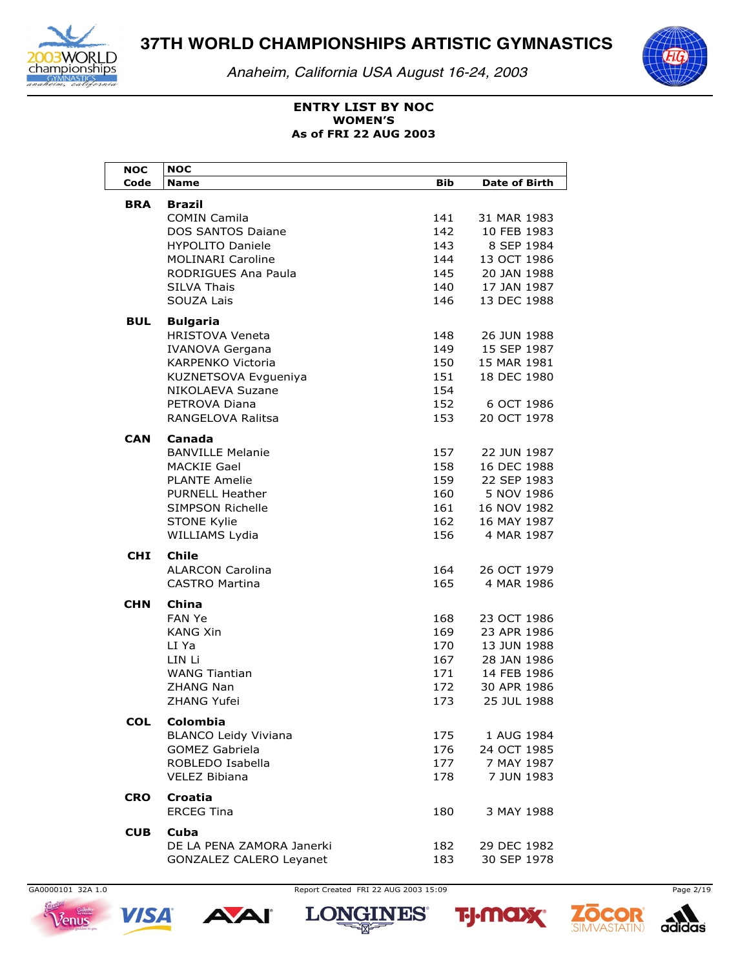

Anaheim, California USA August 16-24, 2003



# **ENTRY LIST BY NOC WOMEN'S** As of FRI 22 AUG 2003

| <b>NOC</b> | <b>NOC</b>                  |     |                      |
|------------|-----------------------------|-----|----------------------|
| Code       | Name                        | Bib | <b>Date of Birth</b> |
| BRA        | <b>Brazil</b>               |     |                      |
|            | <b>COMIN Camila</b>         | 141 | 31 MAR 1983          |
|            | DOS SANTOS Daiane           | 142 | 10 FEB 1983          |
|            | <b>HYPOLITO Daniele</b>     | 143 | 8 SEP 1984           |
|            | <b>MOLINARI Caroline</b>    | 144 | 13 OCT 1986          |
|            | <b>RODRIGUES Ana Paula</b>  | 145 | 20 JAN 1988          |
|            | <b>SILVA Thais</b>          | 140 | 17 JAN 1987          |
|            | SOUZA Lais                  | 146 | 13 DEC 1988          |
|            |                             |     |                      |
| BUL        | <b>Bulgaria</b>             |     |                      |
|            | <b>HRISTOVA Veneta</b>      | 148 | 26 JUN 1988          |
|            | <b>IVANOVA Gergana</b>      | 149 | 15 SEP 1987          |
|            | <b>KARPENKO Victoria</b>    | 150 | 15 MAR 1981          |
|            | KUZNETSOVA Evgueniya        | 151 | 18 DEC 1980          |
|            | NIKOLAEVA Suzane            | 154 |                      |
|            | PETROVA Diana               | 152 | 6 OCT 1986           |
|            | RANGELOVA Ralitsa           | 153 | 20 OCT 1978          |
| CAN        | Canada                      |     |                      |
|            | <b>BANVILLE Melanie</b>     | 157 | 22 JUN 1987          |
|            | <b>MACKIE Gael</b>          | 158 | 16 DEC 1988          |
|            | <b>PLANTE Amelie</b>        | 159 | 22 SEP 1983          |
|            | <b>PURNELL Heather</b>      | 160 | 5 NOV 1986           |
|            | <b>SIMPSON Richelle</b>     | 161 | 16 NOV 1982          |
|            | <b>STONE Kylie</b>          | 162 | 16 MAY 1987          |
|            | WILLIAMS Lydia              | 156 | 4 MAR 1987           |
|            |                             |     |                      |
| <b>CHI</b> | <b>Chile</b>                |     |                      |
|            | <b>ALARCON Carolina</b>     | 164 | 26 OCT 1979          |
|            | <b>CASTRO Martina</b>       | 165 | 4 MAR 1986           |
| <b>CHN</b> | China                       |     |                      |
|            | <b>FAN Ye</b>               | 168 | 23 OCT 1986          |
|            | <b>KANG Xin</b>             | 169 | 23 APR 1986          |
|            | LI Ya                       | 170 | 13 JUN 1988          |
|            | LIN Li                      | 167 | 28 JAN 1986          |
|            | <b>WANG Tiantian</b>        | 171 | 14 FEB 1986          |
|            | <b>ZHANG Nan</b>            | 172 | 30 APR 1986          |
|            | ZHANG Yufei                 | 173 | 25 JUL 1988          |
| <b>COL</b> | <b>Colombia</b>             |     |                      |
|            | <b>BLANCO Leidy Viviana</b> | 175 | 1 AUG 1984           |
|            | <b>GOMEZ Gabriela</b>       | 176 | 24 OCT 1985          |
|            | ROBLEDO Isabella            | 177 | 7 MAY 1987           |
|            | <b>VELEZ Bibiana</b>        | 178 | 7 JUN 1983           |
|            |                             |     |                      |
| <b>CRO</b> | Croatia                     |     |                      |
|            | <b>ERCEG Tina</b>           | 180 | 3 MAY 1988           |
| <b>CUB</b> | Cuba                        |     |                      |
|            | DE LA PENA ZAMORA Janerki   | 182 | 29 DEC 1982          |
|            | GONZALEZ CALERO Leyanet     | 183 | 30 SEP 1978          |



**VISA** 

Report Created FRI 22 AUG 2003 15:09

A









Page 2/19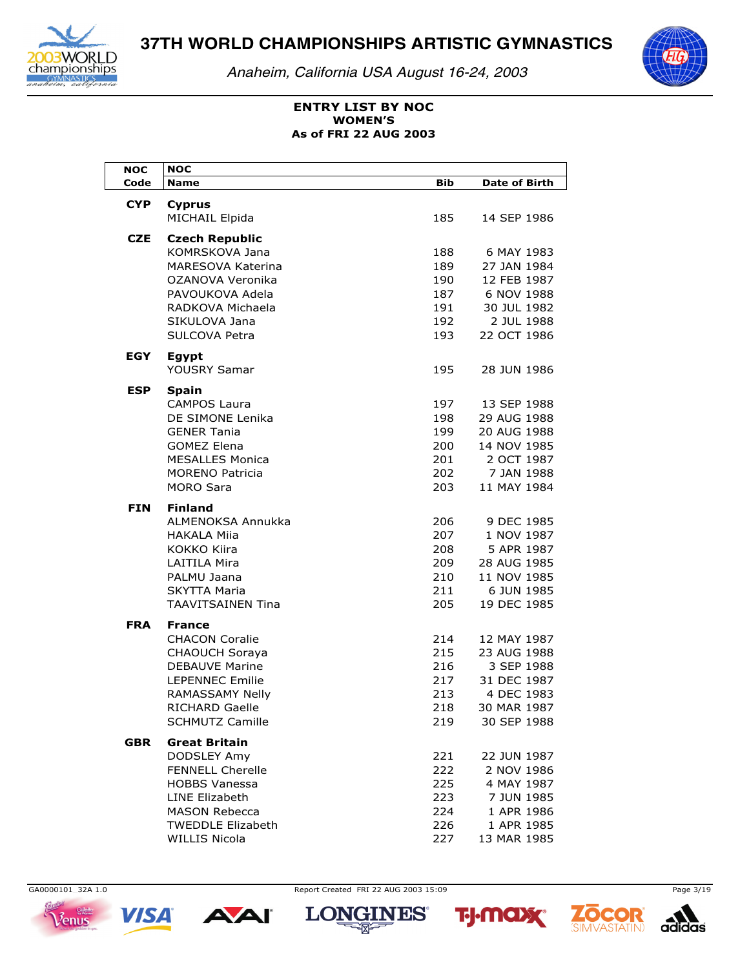

*Anaheim, California USA August 16-24, 2003*



# **ENTRY LIST BY NOC As of FRI 22 AUG 2003 WOMEN'S**

| <b>NOC</b> | <b>NOC</b>                          |     |                      |
|------------|-------------------------------------|-----|----------------------|
| Code       | <b>Name</b>                         | Bib | <b>Date of Birth</b> |
| <b>CYP</b> | <b>Cyprus</b>                       |     |                      |
|            | <b>MICHAIL Elpida</b>               | 185 | 14 SEP 1986          |
| <b>CZE</b> | <b>Czech Republic</b>               |     |                      |
|            | KOMRSKOVA Jana                      | 188 | 6 MAY 1983           |
|            | <b>MARESOVA Katerina</b>            | 189 | 27 JAN 1984          |
|            | OZANOVA Veronika                    | 190 | 12 FEB 1987          |
|            | PAVOUKOVA Adela                     | 187 | 6 NOV 1988           |
|            | RADKOVA Michaela                    | 191 | 30 JUL 1982          |
|            | SIKULOVA Jana                       | 192 | 2 JUL 1988           |
|            | SULCOVA Petra                       | 193 | 22 OCT 1986          |
| EGY        | <b>Egypt</b>                        |     |                      |
|            | YOUSRY Samar                        | 195 | 28 JUN 1986          |
|            |                                     |     |                      |
| <b>ESP</b> | <b>Spain</b><br><b>CAMPOS Laura</b> | 197 | 13 SEP 1988          |
|            | DE SIMONE Lenika                    | 198 | 29 AUG 1988          |
|            | <b>GENER Tania</b>                  | 199 | 20 AUG 1988          |
|            | <b>GOMEZ Elena</b>                  | 200 | 14 NOV 1985          |
|            | <b>MESALLES Monica</b>              | 201 | 2 OCT 1987           |
|            | <b>MORENO Patricia</b>              | 202 | 7 JAN 1988           |
|            | <b>MORO Sara</b>                    | 203 | 11 MAY 1984          |
| <b>FIN</b> |                                     |     |                      |
|            | <b>Finland</b><br>ALMENOKSA Annukka | 206 | 9 DEC 1985           |
|            | <b>HAKALA Miia</b>                  | 207 | 1 NOV 1987           |
|            | KOKKO Kiira                         | 208 | 5 APR 1987           |
|            | <b>LAITILA Mira</b>                 | 209 | 28 AUG 1985          |
|            | PALMU Jaana                         | 210 | 11 NOV 1985          |
|            | <b>SKYTTA Maria</b>                 | 211 | 6 JUN 1985           |
|            | <b>TAAVITSAINEN Tina</b>            | 205 | 19 DEC 1985          |
| <b>FRA</b> | <b>France</b>                       |     |                      |
|            | <b>CHACON Coralie</b>               | 214 | 12 MAY 1987          |
|            | <b>CHAOUCH Soraya</b>               | 215 | 23 AUG 1988          |
|            | <b>DEBAUVE Marine</b>               | 216 | 3 SEP 1988           |
|            | <b>LEPENNEC Emilie</b>              | 217 | 31 DEC 1987          |
|            | RAMASSAMY Nelly                     | 213 | 4 DEC 1983           |
|            | <b>RICHARD Gaelle</b>               | 218 | 30 MAR 1987          |
|            | <b>SCHMUTZ Camille</b>              | 219 | 30 SEP 1988          |
| <b>GBR</b> | <b>Great Britain</b>                |     |                      |
|            | DODSLEY Amy                         | 221 | 22 JUN 1987          |
|            | <b>FENNELL Cherelle</b>             | 222 | 2 NOV 1986           |
|            | <b>HOBBS Vanessa</b>                | 225 | 4 MAY 1987           |
|            | <b>LINE Elizabeth</b>               | 223 | 7 JUN 1985           |
|            | <b>MASON Rebecca</b>                | 224 | 1 APR 1986           |
|            | <b>TWEDDLE Elizabeth</b>            | 226 | 1 APR 1985           |
|            | <b>WILLIS Nicola</b>                | 227 | 13 MAR 1985          |





**AAI** 

GA0000101 32A 1.0 Page 3/19







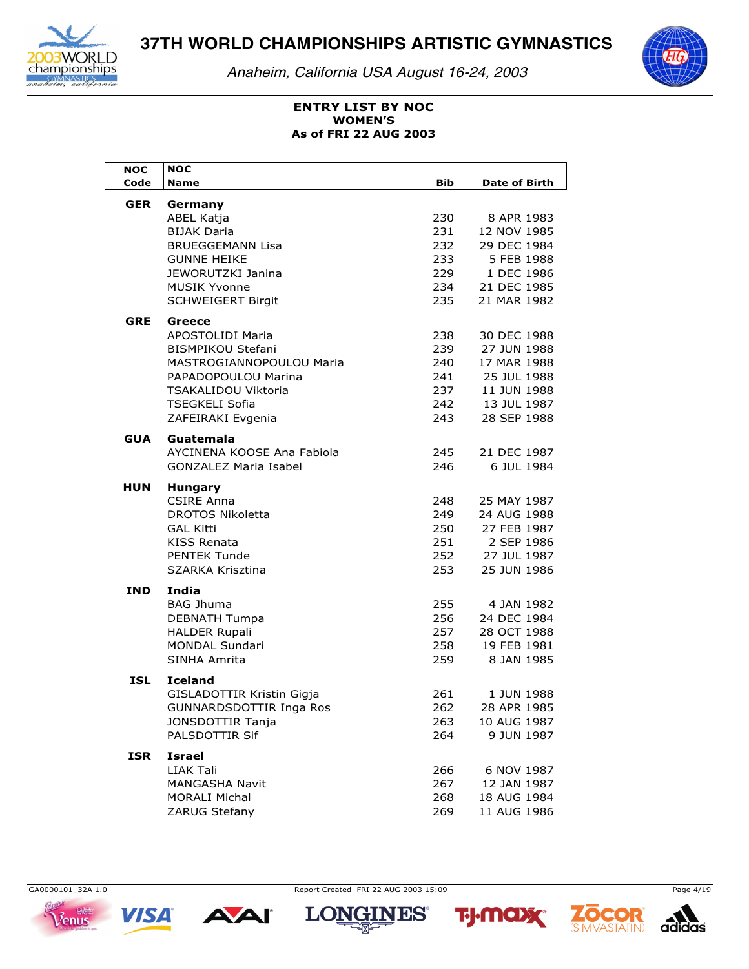

*Anaheim, California USA August 16-24, 2003*



### **ENTRY LIST BY NOC As of FRI 22 AUG 2003 WOMEN'S**

| <b>NOC</b> | <b>NOC</b>                              |            |                           |
|------------|-----------------------------------------|------------|---------------------------|
| Code       | <b>Name</b>                             | <b>Bib</b> | <b>Date of Birth</b>      |
| <b>GER</b> | Germany                                 |            |                           |
|            | ABEL Katja                              | 230        | 8 APR 1983                |
|            | <b>BIJAK Daria</b>                      | 231        | 12 NOV 1985               |
|            | <b>BRUEGGEMANN Lisa</b>                 | 232        | 29 DEC 1984               |
|            | <b>GUNNE HEIKE</b>                      | 233        | 5 FEB 1988                |
|            | JEWORUTZKI Janina                       | 229        | 1 DEC 1986                |
|            | <b>MUSIK Yvonne</b>                     | 234        | 21 DEC 1985               |
|            | <b>SCHWEIGERT Birgit</b>                | 235        | 21 MAR 1982               |
| <b>GRE</b> | Greece                                  |            |                           |
|            | APOSTOLIDI Maria                        | 238        | 30 DEC 1988               |
|            | <b>BISMPIKOU Stefani</b>                | 239        | 27 JUN 1988               |
|            | MASTROGIANNOPOULOU Maria                | 240        | 17 MAR 1988               |
|            | PAPADOPOULOU Marina                     | 241        | 25 JUL 1988               |
|            | <b>TSAKALIDOU Viktoria</b>              | 237        | 11 JUN 1988               |
|            | <b>TSEGKELI Sofia</b>                   | 242        | 13 JUL 1987               |
|            | ZAFEIRAKI Evgenia                       | 243        | 28 SEP 1988               |
|            |                                         |            |                           |
| GUA        | Guatemala<br>AYCINENA KOOSE Ana Fabiola |            |                           |
|            | <b>GONZALEZ Maria Isabel</b>            | 245<br>246 | 21 DEC 1987<br>6 JUL 1984 |
|            |                                         |            |                           |
| HUN        | <b>Hungary</b>                          |            |                           |
|            | <b>CSIRE Anna</b>                       | 248        | 25 MAY 1987               |
|            | DROTOS Nikoletta                        | 249        | 24 AUG 1988               |
|            | <b>GAL Kitti</b>                        | 250        | 27 FEB 1987               |
|            | KISS Renata                             | 251        | 2 SEP 1986                |
|            | <b>PENTEK Tunde</b>                     | 252        | 27 JUL 1987               |
|            | SZARKA Krisztina                        | 253        | 25 JUN 1986               |
| IND        | India                                   |            |                           |
|            | <b>BAG Jhuma</b>                        | 255        | 4 JAN 1982                |
|            | <b>DEBNATH Tumpa</b>                    | 256        | 24 DEC 1984               |
|            | <b>HALDER Rupali</b>                    | 257        | 28 OCT 1988               |
|            | <b>MONDAL Sundari</b>                   | 258        | 19 FEB 1981               |
|            | SINHA Amrita                            | 259        | 8 JAN 1985                |
| <b>ISL</b> | <b>Iceland</b>                          |            |                           |
|            | GISLADOTTIR Kristin Gigja               | 261        | 1 JUN 1988                |
|            | GUNNARDSDOTTIR Inga Ros                 | 262        | 28 APR 1985               |
|            | JONSDOTTIR Tanja                        | 263        | 10 AUG 1987               |
|            | PALSDOTTIR Sif                          | 264        | 9 JUN 1987                |
| <b>ISR</b> | <b>Israel</b>                           |            |                           |
|            | LIAK Tali                               | 266        | 6 NOV 1987                |
|            | <b>MANGASHA Navit</b>                   | 267        | 12 JAN 1987               |
|            | <b>MORALI Michal</b>                    | 268        | 18 AUG 1984               |
|            | ZARUG Stefany                           | 269        | 11 AUG 1986               |



**AAI** 



**TALANT** 





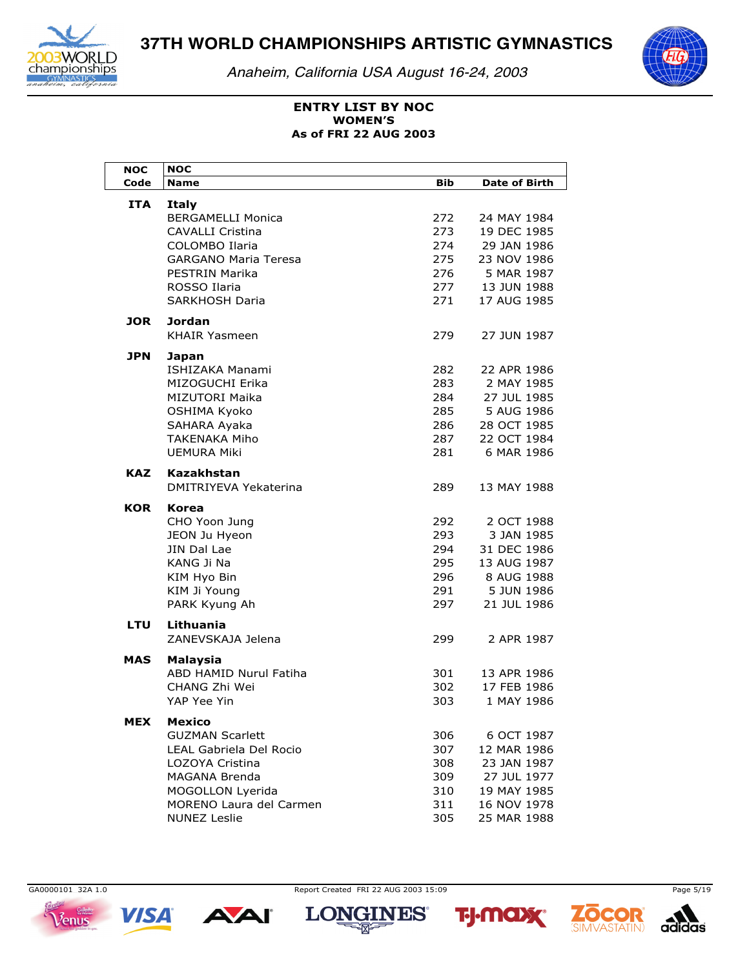

*Anaheim, California USA August 16-24, 2003*



### **ENTRY LIST BY NOC As of FRI 22 AUG 2003 WOMEN'S**

| <b>NOC</b> | <b>NOC</b>                                     |            |                            |
|------------|------------------------------------------------|------------|----------------------------|
| Code       | <b>Name</b>                                    | <b>Bib</b> | <b>Date of Birth</b>       |
| ITA        | <b>Italy</b>                                   |            |                            |
|            | <b>BERGAMELLI Monica</b>                       | 272        | 24 MAY 1984                |
|            | CAVALLI Cristina                               | 273        | 19 DEC 1985                |
|            | COLOMBO Ilaria                                 | 274        | 29 JAN 1986                |
|            | <b>GARGANO Maria Teresa</b>                    | 275        | 23 NOV 1986                |
|            | PESTRIN Marika                                 | 276        | 5 MAR 1987                 |
|            | ROSSO Ilaria                                   | 277        | 13 JUN 1988                |
|            | <b>SARKHOSH Daria</b>                          | 271        | 17 AUG 1985                |
| JOR.       | Jordan                                         |            |                            |
|            | <b>KHAIR Yasmeen</b>                           | 279        | 27 JUN 1987                |
|            |                                                |            |                            |
| <b>JPN</b> | Japan                                          |            |                            |
|            | ISHIZAKA Manami                                | 282        | 22 APR 1986                |
|            | MIZOGUCHI Erika                                | 283        | 2 MAY 1985                 |
|            | MIZUTORI Maika                                 | 284        | 27 JUL 1985                |
|            | OSHIMA Kyoko                                   | 285        | 5 AUG 1986                 |
|            | SAHARA Ayaka                                   | 286        | 28 OCT 1985                |
|            | TAKENAKA Miho                                  | 287        | 22 OCT 1984                |
|            | <b>UEMURA Miki</b>                             | 281        | 6 MAR 1986                 |
| <b>KAZ</b> | Kazakhstan                                     |            |                            |
|            | DMITRIYEVA Yekaterina                          | 289        | 13 MAY 1988                |
|            |                                                |            |                            |
| KOR        | Korea                                          |            |                            |
|            | CHO Yoon Jung                                  | 292<br>293 | 2 OCT 1988<br>3 JAN 1985   |
|            | JEON Ju Hyeon<br>JIN Dal Lae                   | 294        | 31 DEC 1986                |
|            | KANG Ji Na                                     | 295        | 13 AUG 1987                |
|            | KIM Hyo Bin                                    | 296        | 8 AUG 1988                 |
|            | KIM Ji Young                                   | 291        | 5 JUN 1986                 |
|            | PARK Kyung Ah                                  | 297        | 21 JUL 1986                |
|            |                                                |            |                            |
| LTU        | Lithuania                                      |            |                            |
|            | ZANEVSKAJA Jelena                              | 299        | 2 APR 1987                 |
| MAS        | Malaysia                                       |            |                            |
|            | ABD HAMID Nurul Fatiha                         | 301        | 13 APR 1986                |
|            | <b>CHANG Zhi Wei</b>                           | 302        | 17 FEB 1986                |
|            | YAP Yee Yin                                    | 303        | 1 MAY 1986                 |
|            |                                                |            |                            |
| MEX        | Mexico                                         |            |                            |
|            | <b>GUZMAN Scarlett</b>                         | 306        | 6 OCT 1987                 |
|            | LEAL Gabriela Del Rocio                        | 307        | 12 MAR 1986                |
|            | LOZOYA Cristina                                | 308        | 23 JAN 1987                |
|            | <b>MAGANA Brenda</b>                           | 309        | 27 JUL 1977                |
|            | MOGOLLON Lyerida                               | 310        | 19 MAY 1985                |
|            | MORENO Laura del Carmen<br><b>NUNEZ Leslie</b> | 311        | 16 NOV 1978<br>25 MAR 1988 |
|            |                                                | 305        |                            |



**VISA** 

**AAI** 

GA0000101 32A 1.0 Page 5/19







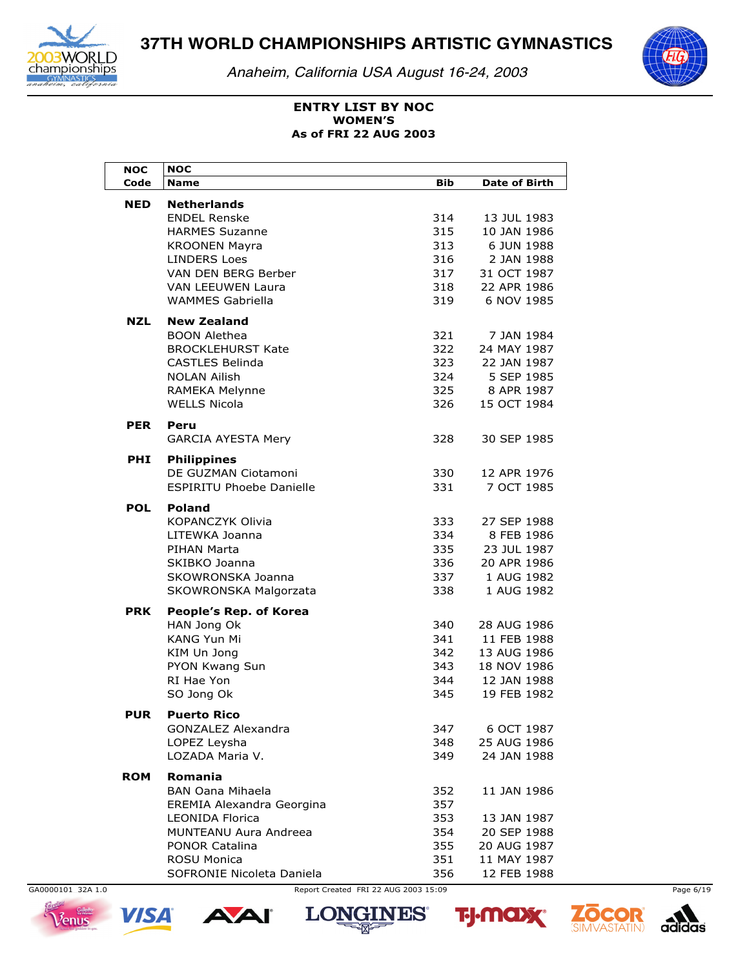

*Anaheim, California USA August 16-24, 2003*



### **ENTRY LIST BY NOC As of FRI 22 AUG 2003 WOMEN'S**

| <b>NOC</b> | <b>NOC</b>                      |            |                      |
|------------|---------------------------------|------------|----------------------|
| Code       | <b>Name</b>                     | <b>Bib</b> | <b>Date of Birth</b> |
| <b>NED</b> | <b>Netherlands</b>              |            |                      |
|            | <b>ENDEL Renske</b>             | 314        | 13 JUL 1983          |
|            | <b>HARMES Suzanne</b>           | 315        | 10 JAN 1986          |
|            | <b>KROONEN Mayra</b>            | 313        | 6 JUN 1988           |
|            | <b>LINDERS Loes</b>             | 316        | 2 JAN 1988           |
|            | VAN DEN BERG Berber             | 317        | 31 OCT 1987          |
|            | <b>VAN LEEUWEN Laura</b>        | 318        | 22 APR 1986          |
|            | <b>WAMMES Gabriella</b>         | 319        | 6 NOV 1985           |
|            |                                 |            |                      |
| <b>NZL</b> | <b>New Zealand</b>              |            |                      |
|            | <b>BOON Alethea</b>             | 321        | 7 JAN 1984           |
|            | <b>BROCKLEHURST Kate</b>        | 322        | 24 MAY 1987          |
|            | <b>CASTLES Belinda</b>          | 323        | 22 JAN 1987          |
|            | <b>NOLAN Ailish</b>             | 324        | 5 SEP 1985           |
|            | RAMEKA Melynne                  | 325        | 8 APR 1987           |
|            | <b>WELLS Nicola</b>             | 326        | 15 OCT 1984          |
| <b>PER</b> | Peru                            |            |                      |
|            | <b>GARCIA AYESTA Mery</b>       | 328        | 30 SEP 1985          |
|            |                                 |            |                      |
| <b>PHI</b> | <b>Philippines</b>              |            |                      |
|            | DE GUZMAN Ciotamoni             | 330        | 12 APR 1976          |
|            | <b>FSPIRITU Phoebe Danielle</b> | 331        | 7 OCT 1985           |
| <b>POL</b> | <b>Poland</b>                   |            |                      |
|            | <b>KOPANCZYK Olivia</b>         | 333        | 27 SEP 1988          |
|            | LITEWKA Joanna                  | 334        | 8 FEB 1986           |
|            | PIHAN Marta                     | 335        | 23 JUL 1987          |
|            | SKIBKO Joanna                   | 336        | 20 APR 1986          |
|            | SKOWRONSKA Joanna               | 337        | 1 AUG 1982           |
|            | SKOWRONSKA Malgorzata           | 338        | 1 AUG 1982           |
| <b>PRK</b> | People's Rep. of Korea          |            |                      |
|            | HAN Jong Ok                     | 340        | 28 AUG 1986          |
|            | <b>KANG Yun Mi</b>              | 341        | 11 FEB 1988          |
|            | KIM Un Jong                     | 342        | 13 AUG 1986          |
|            | PYON Kwang Sun                  | 343        | 18 NOV 1986          |
|            | RI Hae Yon                      | 344        | 12 JAN 1988          |
|            | SO Jong Ok                      | 345        | 19 FEB 1982          |
|            |                                 |            |                      |
| <b>PUR</b> | <b>Puerto Rico</b>              |            |                      |
|            | GONZALEZ Alexandra              | 347        | 6 OCT 1987           |
|            | LOPEZ Leysha                    | 348        | 25 AUG 1986          |
|            | LOZADA Maria V.                 | 349        | 24 JAN 1988          |
| <b>ROM</b> | <b>Romania</b>                  |            |                      |
|            | <b>BAN Oana Mihaela</b>         | 352        | 11 JAN 1986          |
|            | EREMIA Alexandra Georgina       | 357        |                      |
|            | <b>LEONIDA Florica</b>          | 353        | 13 JAN 1987          |
|            | MUNTEANU Aura Andreea           | 354        | 20 SEP 1988          |
|            | <b>PONOR Catalina</b>           | 355        | 20 AUG 1987          |
|            | <b>ROSU Monica</b>              | 351        | 11 MAY 1987          |
|            | SOFRONIE Nicoleta Daniela       | 356        | 12 FEB 1988          |

GA0000101 32A 1.0 Page 6/19



**VISA** 

**AAI** 





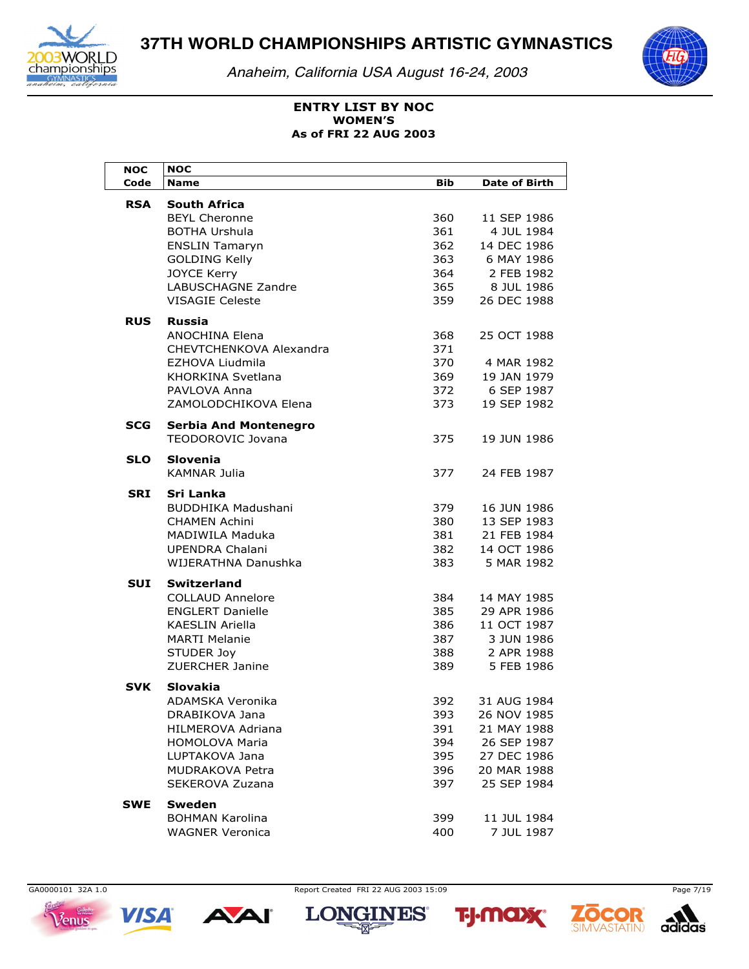

*Anaheim, California USA August 16-24, 2003*



# **ENTRY LIST BY NOC As of FRI 22 AUG 2003 WOMEN'S**

| NOC        | <b>NOC</b>                                        |            |                      |
|------------|---------------------------------------------------|------------|----------------------|
| Code       | <b>Name</b>                                       | <b>Bib</b> | <b>Date of Birth</b> |
| <b>RSA</b> | <b>South Africa</b>                               |            |                      |
|            | <b>BEYL Cheronne</b>                              | 360        | 11 SEP 1986          |
|            | <b>BOTHA Urshula</b>                              | 361        | 4 JUL 1984           |
|            | <b>ENSLIN Tamaryn</b>                             | 362        | 14 DEC 1986          |
|            | <b>GOLDING Kelly</b>                              | 363        | 6 MAY 1986           |
|            | <b>JOYCE Kerry</b>                                | 364        | 2 FEB 1982           |
|            | <b>LABUSCHAGNE Zandre</b>                         | 365        | 8 JUL 1986           |
|            | <b>VISAGIE Celeste</b>                            | 359        | 26 DEC 1988          |
| <b>RUS</b> | <b>Russia</b>                                     |            |                      |
|            | ANOCHINA Elena                                    | 368        | 25 OCT 1988          |
|            | CHEVTCHENKOVA Alexandra                           | 371        |                      |
|            | EZHOVA Liudmila                                   | 370        | 4 MAR 1982           |
|            | KHORKINA Svetlana                                 | 369        | 19 JAN 1979          |
|            | PAVLOVA Anna                                      | 372        | 6 SEP 1987           |
|            | ZAMOLODCHIKOVA Elena                              | 373        | 19 SEP 1982          |
|            |                                                   |            |                      |
| <b>SCG</b> | <b>Serbia And Montenegro</b><br>TEODOROVIC Jovana | 375        | 19 JUN 1986          |
|            |                                                   |            |                      |
| <b>SLO</b> | <b>Slovenia</b>                                   |            |                      |
|            | <b>KAMNAR Julia</b>                               | 377        | 24 FEB 1987          |
| SRI        | Sri Lanka                                         |            |                      |
|            | <b>BUDDHIKA Madushani</b>                         | 379        | 16 JUN 1986          |
|            | <b>CHAMEN Achini</b>                              | 380        | 13 SEP 1983          |
|            | MADIWILA Maduka                                   | 381        | 21 FEB 1984          |
|            | <b>UPENDRA Chalani</b>                            | 382        | 14 OCT 1986          |
|            | WIJERATHNA Danushka                               | 383        | 5 MAR 1982           |
| SUI        | <b>Switzerland</b>                                |            |                      |
|            | <b>COLLAUD Annelore</b>                           | 384        | 14 MAY 1985          |
|            | <b>ENGLERT Danielle</b>                           | 385        | 29 APR 1986          |
|            | <b>KAESLIN Ariella</b>                            | 386        | 11 OCT 1987          |
|            | <b>MARTI Melanie</b>                              | 387        | 3 JUN 1986           |
|            | STUDER Joy                                        | 388        | 2 APR 1988           |
|            | <b>ZUERCHER Janine</b>                            | 389        | 5 FEB 1986           |
| <b>SVK</b> | Slovakia                                          |            |                      |
|            | ADAMSKA Veronika                                  | 392        | 31 AUG 1984          |
|            | DRABIKOVA Jana                                    | 393        | 26 NOV 1985          |
|            | <b>HILMEROVA Adriana</b>                          | 391        | 21 MAY 1988          |
|            | <b>HOMOLOVA Maria</b>                             | 394        | 26 SEP 1987          |
|            | LUPTAKOVA Jana                                    | 395        | 27 DEC 1986          |
|            | MUDRAKOVA Petra                                   | 396        | 20 MAR 1988          |
|            | SEKEROVA Zuzana                                   | 397        | 25 SEP 1984          |
|            |                                                   |            |                      |
| <b>SWE</b> | Sweden<br><b>BOHMAN Karolina</b>                  | 399        | 11 JUL 1984          |
|            | <b>WAGNER Veronica</b>                            | 400        | 7 JUL 1987           |





GA0000101 32A 1.0 Page 7/19







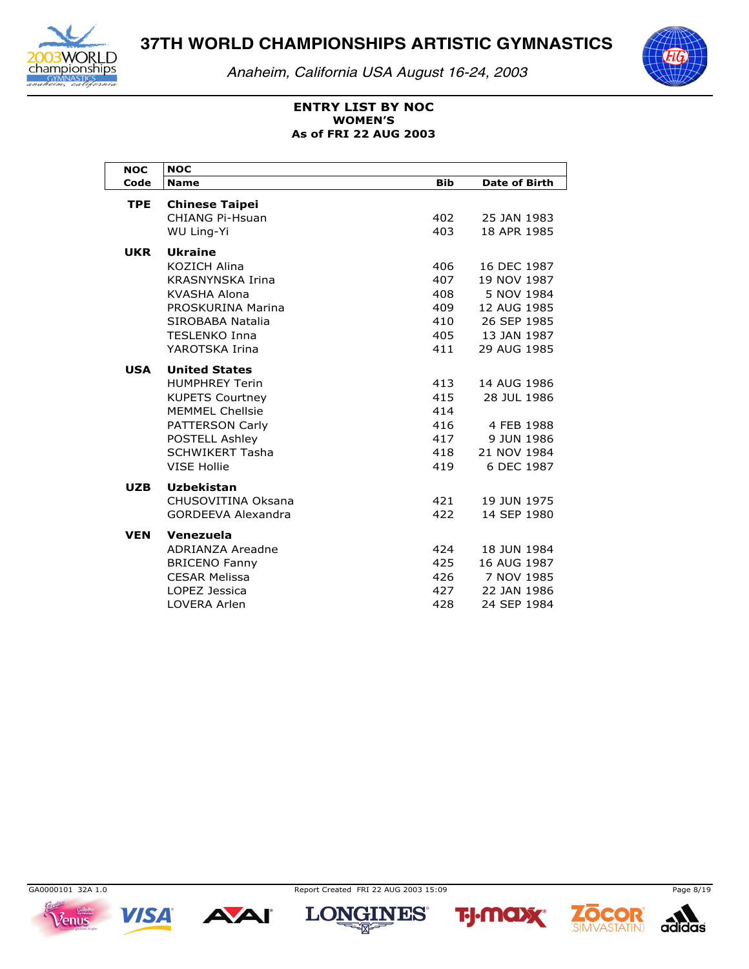

*Anaheim, California USA August 16-24, 2003*



### **ENTRY LIST BY NOC As of FRI 22 AUG 2003 WOMEN'S**

| <b>NOC</b> | <b>NOC</b>                                                                                                                                                                             |                                               |                                                                                                      |
|------------|----------------------------------------------------------------------------------------------------------------------------------------------------------------------------------------|-----------------------------------------------|------------------------------------------------------------------------------------------------------|
| Code       | <b>Name</b>                                                                                                                                                                            | <b>Bib</b>                                    | <b>Date of Birth</b>                                                                                 |
| <b>TPE</b> | <b>Chinese Taipei</b><br><b>CHIANG Pi-Hsuan</b><br><b>WU Ling-Yi</b>                                                                                                                   | 402<br>403                                    | 25 JAN 1983<br>18 APR 1985                                                                           |
| <b>UKR</b> | <b>Ukraine</b><br><b>KOZICH Alina</b><br><b>KRASNYNSKA Irina</b><br>KVASHA Alona<br>PROSKURINA Marina<br>SIROBABA Natalia<br><b>TFSI FNKO Inna</b><br>YAROTSKA Irina                   | 406<br>407<br>408<br>409<br>410<br>405<br>411 | 16 DEC 1987<br>19 NOV 1987<br>5 NOV 1984<br>12 AUG 1985<br>26 SEP 1985<br>13 JAN 1987<br>29 AUG 1985 |
| <b>USA</b> | <b>United States</b><br><b>HUMPHREY Terin</b><br><b>KUPETS Courtney</b><br><b>MEMMEL Chellsie</b><br>PATTERSON Carly<br>POSTELL Ashley<br><b>SCHWIKERT Tasha</b><br><b>VISE Hollie</b> | 413<br>415<br>414<br>416<br>417<br>418<br>419 | 14 AUG 1986<br>28 JUL 1986<br>4 FEB 1988<br>9 JUN 1986<br>21 NOV 1984<br>6 DEC 1987                  |
| <b>UZB</b> | <b>Uzbekistan</b><br>CHUSOVITINA Oksana<br><b>GORDEEVA Alexandra</b>                                                                                                                   | 421<br>422                                    | 19 JUN 1975<br>14 SEP 1980                                                                           |
| <b>VEN</b> | Venezuela<br>ADRIANZA Areadne<br><b>BRICENO Fanny</b><br><b>CESAR Melissa</b><br>LOPEZ Jessica<br><b>LOVERA Arlen</b>                                                                  | 424<br>425<br>426<br>427<br>428               | 18 JUN 1984<br>16 AUG 1987<br>7 NOV 1985<br>22 JAN 1986<br>24 SEP 1984                               |

 $V$ enus

**VISA** 

**AAI** 



**TALANT** 







13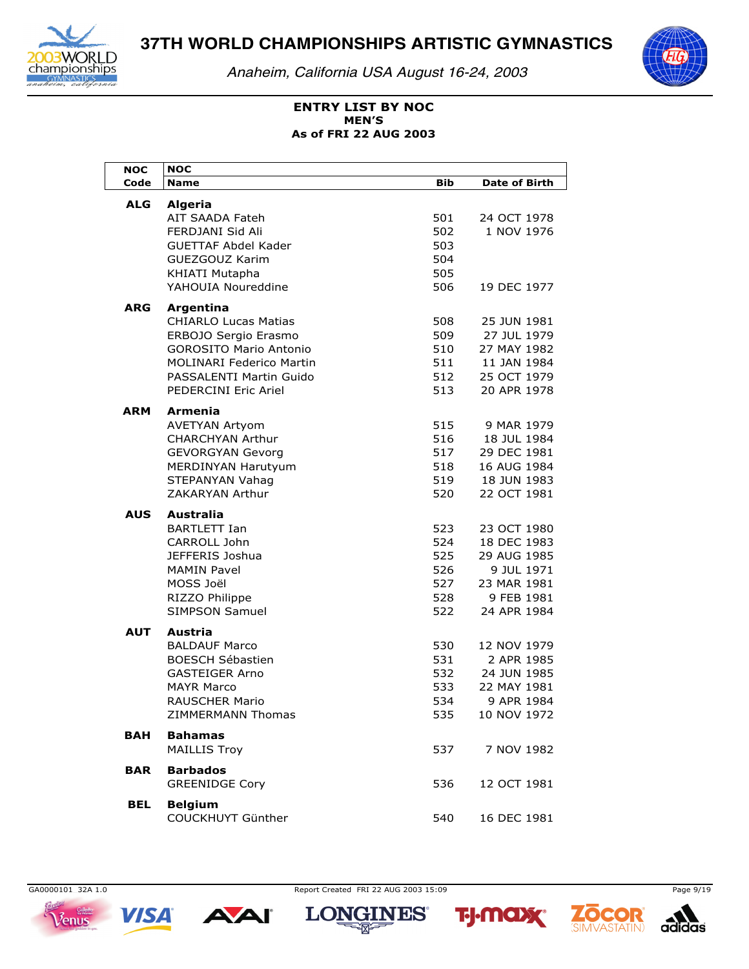

*Anaheim, California USA August 16-24, 2003*



### **ENTRY LIST BY NOC As of FRI 22 AUG 2003 MEN'S**

| <b>NOC</b> | <b>NOC</b>                               |     |                      |
|------------|------------------------------------------|-----|----------------------|
| Code       | <b>Name</b>                              | Bib | <b>Date of Birth</b> |
| <b>ALG</b> | <b>Algeria</b>                           |     |                      |
|            | <b>AIT SAADA Fateh</b>                   | 501 | 24 OCT 1978          |
|            | FERDJANI Sid Ali                         | 502 | 1 NOV 1976           |
|            | <b>GUETTAF Abdel Kader</b>               | 503 |                      |
|            | GUEZGOUZ Karim                           | 504 |                      |
|            | KHIATI Mutapha                           | 505 |                      |
|            | YAHOUIA Noureddine                       | 506 | 19 DEC 1977          |
| <b>ARG</b> |                                          |     |                      |
|            | Argentina<br><b>CHIARLO Lucas Matias</b> | 508 | 25 JUN 1981          |
|            | ERBOJO Sergio Erasmo                     | 509 | 27 JUL 1979          |
|            | <b>GOROSITO Mario Antonio</b>            | 510 | 27 MAY 1982          |
|            | <b>MOLINARI Federico Martin</b>          | 511 | 11 JAN 1984          |
|            | PASSALENTI Martin Guido                  | 512 | 25 OCT 1979          |
|            | PEDERCINI Eric Ariel                     | 513 | 20 APR 1978          |
|            |                                          |     |                      |
| ARM        | <b>Armenia</b>                           |     |                      |
|            | <b>AVETYAN Artyom</b>                    | 515 | 9 MAR 1979           |
|            | <b>CHARCHYAN Arthur</b>                  | 516 | 18 JUL 1984          |
|            | <b>GEVORGYAN Gevorg</b>                  | 517 | 29 DEC 1981          |
|            | <b>MERDINYAN Harutyum</b>                | 518 | 16 AUG 1984          |
|            | STEPANYAN Vahag                          | 519 | 18 JUN 1983          |
|            | ZAKARYAN Arthur                          | 520 | 22 OCT 1981          |
| <b>AUS</b> | <b>Australia</b>                         |     |                      |
|            | <b>BARTLETT Ian</b>                      | 523 | 23 OCT 1980          |
|            | CARROLL John                             | 524 | 18 DEC 1983          |
|            | JEFFERIS Joshua                          | 525 | 29 AUG 1985          |
|            | <b>MAMIN Pavel</b>                       | 526 | 9 JUL 1971           |
|            | MOSS Joël                                | 527 | 23 MAR 1981          |
|            | RIZZO Philippe                           | 528 | 9 FEB 1981           |
|            | <b>SIMPSON Samuel</b>                    | 522 | 24 APR 1984          |
| <b>AUT</b> | Austria                                  |     |                      |
|            | <b>BALDAUF Marco</b>                     | 530 | 12 NOV 1979          |
|            | <b>BOESCH Sébastien</b>                  | 531 | 2 APR 1985           |
|            | <b>GASTEIGER Arno</b>                    | 532 | 24 JUN 1985          |
|            | <b>MAYR Marco</b>                        | 533 | 22 MAY 1981          |
|            | <b>RAUSCHER Mario</b>                    | 534 | 9 APR 1984           |
|            | ZIMMERMANN Thomas                        | 535 | 10 NOV 1972          |
| BAH        | <b>Bahamas</b>                           |     |                      |
|            | <b>MAILLIS Troy</b>                      | 537 | 7 NOV 1982           |
|            |                                          |     |                      |
| BAR        | <b>Barbados</b>                          |     |                      |
|            | <b>GREENIDGE Cory</b>                    | 536 | 12 OCT 1981          |
| BEL        | <b>Belgium</b>                           |     |                      |
|            | COUCKHUYT Günther                        | 540 | 16 DEC 1981          |

 $V$ enus



GA0000101 32A 1.0 Page 9/19

**2014** 





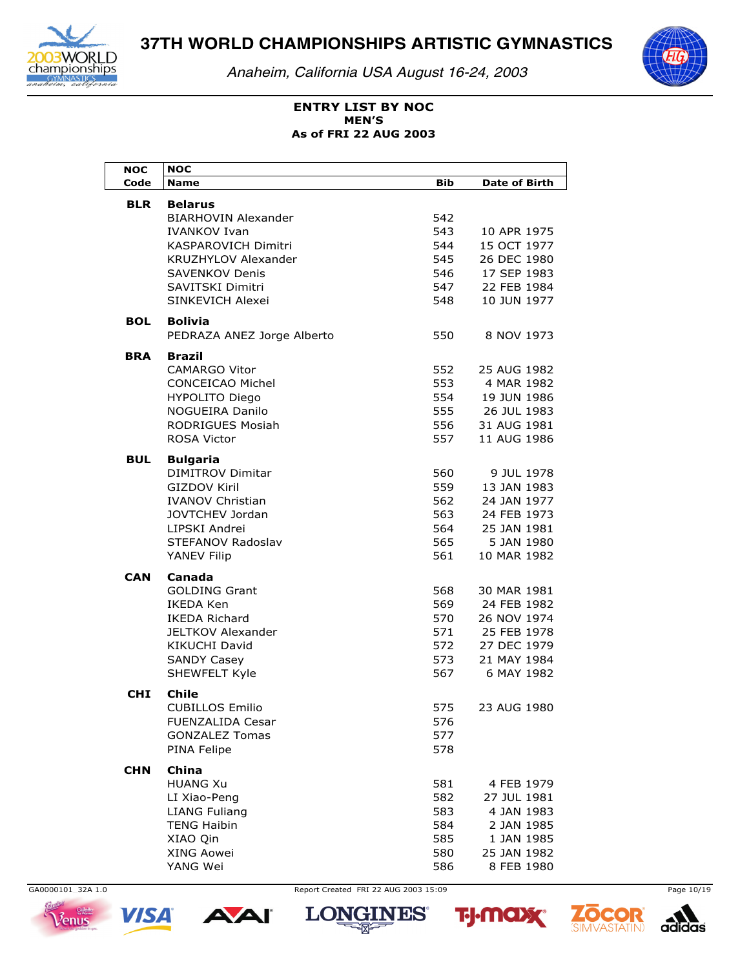

*Anaheim, California USA August 16-24, 2003*



### **ENTRY LIST BY NOC As of FRI 22 AUG 2003 MEN'S**

| <b>NOC</b> | <b>NOC</b>                            |            |                      |
|------------|---------------------------------------|------------|----------------------|
| Code       | <b>Name</b>                           | <b>Bib</b> | <b>Date of Birth</b> |
| <b>BLR</b> | <b>Belarus</b>                        |            |                      |
|            | <b>BIARHOVIN Alexander</b>            | 542        |                      |
|            | <b>IVANKOV Ivan</b>                   | 543        | 10 APR 1975          |
|            | <b>KASPAROVICH Dimitri</b>            | 544        | 15 OCT 1977          |
|            | <b>KRUZHYLOV Alexander</b>            | 545        | 26 DEC 1980          |
|            | <b>SAVENKOV Denis</b>                 | 546        | 17 SEP 1983          |
|            | SAVITSKI Dimitri                      | 547        | 22 FEB 1984          |
|            | SINKEVICH Alexei                      | 548        | 10 JUN 1977          |
| <b>BOL</b> | <b>Bolivia</b>                        |            |                      |
|            | PEDRAZA ANEZ Jorge Alberto            | 550        | 8 NOV 1973           |
|            |                                       |            |                      |
| <b>BRA</b> | <b>Brazil</b><br><b>CAMARGO Vitor</b> | 552        | 25 AUG 1982          |
|            | <b>CONCEICAO Michel</b>               |            |                      |
|            |                                       | 553        | 4 MAR 1982           |
|            | <b>HYPOLITO Diego</b>                 | 554        | 19 JUN 1986          |
|            | <b>NOGUEIRA Danilo</b>                | 555        | 26 JUL 1983          |
|            | <b>RODRIGUES Mosiah</b>               | 556        | 31 AUG 1981          |
|            | <b>ROSA Victor</b>                    | 557        | 11 AUG 1986          |
| BUL        | <b>Bulgaria</b>                       |            |                      |
|            | <b>DIMITROV Dimitar</b>               | 560        | 9 JUL 1978           |
|            | <b>GIZDOV Kiril</b>                   | 559        | 13 JAN 1983          |
|            | <b>IVANOV Christian</b>               | 562        | 24 JAN 1977          |
|            | JOVTCHEV Jordan                       | 563        | 24 FEB 1973          |
|            | LIPSKI Andrei                         | 564        | 25 JAN 1981          |
|            | STEFANOV Radoslav                     | 565        | 5 JAN 1980           |
|            | YANEV Filip                           | 561        | 10 MAR 1982          |
| CAN        | Canada                                |            |                      |
|            | <b>GOLDING Grant</b>                  | 568        | 30 MAR 1981          |
|            | <b>IKEDA Ken</b>                      | 569        | 24 FEB 1982          |
|            | <b>IKEDA Richard</b>                  | 570        | 26 NOV 1974          |
|            | <b>JELTKOV Alexander</b>              | 571        | 25 FEB 1978          |
|            | <b>KIKUCHI David</b>                  | 572        | 27 DEC 1979          |
|            | <b>SANDY Casey</b>                    | 573        | 21 MAY 1984          |
|            | SHEWFELT Kyle                         | 567        | 6 MAY 1982           |
| <b>CHI</b> | <b>Chile</b>                          |            |                      |
|            | <b>CUBILLOS Emilio</b>                | 575        | 23 AUG 1980          |
|            | FUENZALIDA Cesar                      | 576        |                      |
|            | <b>GONZALEZ Tomas</b>                 | 577        |                      |
|            | PINA Felipe                           | 578        |                      |
|            |                                       |            |                      |
| <b>CHN</b> | China<br><b>HUANG Xu</b>              |            |                      |
|            |                                       | 581        | 4 FEB 1979           |
|            | LI Xiao-Peng                          | 582        | 27 JUL 1981          |
|            | <b>LIANG Fuliang</b>                  | 583        | 4 JAN 1983           |
|            | <b>TENG Haibin</b>                    | 584        | 2 JAN 1985           |
|            | XIAO Qin                              | 585        | 1 JAN 1985           |
|            | XING Aowei                            | 580        | 25 JAN 1982          |
|            | YANG Wei                              | 586        | 8 FEB 1980           |









**2014** 





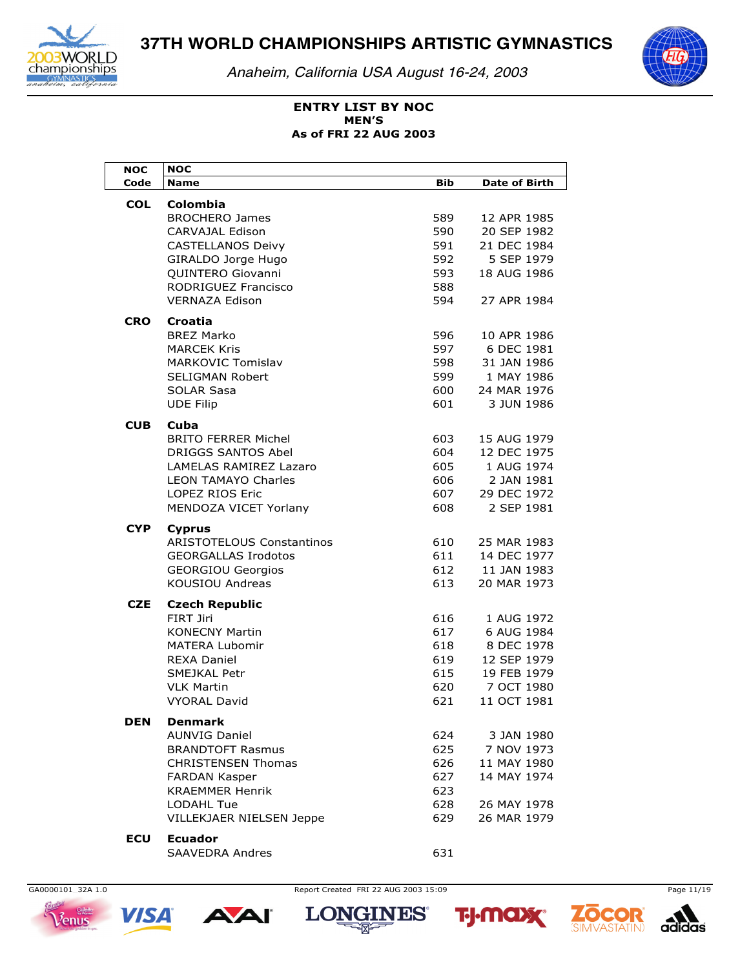

Anaheim, California USA August 16-24, 2003



### **ENTRY LIST BY NOC MEN'S** As of FRI 22 AUG 2003

| мос        | <b>NOC</b>                                           |            |                          |
|------------|------------------------------------------------------|------------|--------------------------|
| Code       | <b>Name</b>                                          | Bib        | <b>Date of Birth</b>     |
| <b>COL</b> | <b>Colombia</b>                                      |            |                          |
|            | <b>BROCHERO James</b>                                | 589        | 12 APR 1985              |
|            | CARVAJAL Edison                                      | 590        | 20 SEP 1982              |
|            | <b>CASTELLANOS Deivy</b>                             | 591        | 21 DEC 1984              |
|            | GIRALDO Jorge Hugo                                   | 592        | 5 SEP 1979               |
|            | QUINTERO Giovanni                                    | 593        | 18 AUG 1986              |
|            | RODRIGUEZ Francisco                                  | 588        |                          |
|            | <b>VERNAZA Edison</b>                                | 594        | 27 APR 1984              |
| <b>CRO</b> | Croatia                                              |            |                          |
|            | <b>BREZ Marko</b>                                    | 596        | 10 APR 1986              |
|            | <b>MARCEK Kris</b>                                   | 597        | 6 DEC 1981               |
|            | <b>MARKOVIC Tomislav</b>                             | 598        | 31 JAN 1986              |
|            | <b>SELIGMAN Robert</b>                               | 599        | 1 MAY 1986               |
|            | <b>SOLAR Sasa</b>                                    | 600        | 24 MAR 1976              |
|            | <b>UDE Filip</b>                                     | 601        | 3 JUN 1986               |
|            |                                                      |            |                          |
| <b>CUB</b> | Cuba                                                 |            |                          |
|            | <b>BRITO FERRER Michel</b>                           | 603        | 15 AUG 1979              |
|            | <b>DRIGGS SANTOS Abel</b>                            | 604        | 12 DEC 1975              |
|            | LAMELAS RAMIREZ Lazaro<br><b>LEON TAMAYO Charles</b> | 605<br>606 | 1 AUG 1974<br>2 JAN 1981 |
|            | <b>LOPEZ RIOS Eric</b>                               | 607        | 29 DEC 1972              |
|            | MENDOZA VICET Yorlany                                | 608        | 2 SEP 1981               |
|            |                                                      |            |                          |
| CYP.       | <b>Cyprus</b>                                        |            |                          |
|            | <b>ARISTOTELOUS Constantinos</b>                     | 610        | 25 MAR 1983              |
|            | <b>GEORGALLAS Irodotos</b>                           | 611        | 14 DEC 1977              |
|            | <b>GEORGIOU Georgios</b>                             | 612        | 11 JAN 1983              |
|            | <b>KOUSIOU Andreas</b>                               | 613        | 20 MAR 1973              |
| <b>CZE</b> | <b>Czech Republic</b>                                |            |                          |
|            | FIRT Jiri                                            | 616        | 1 AUG 1972               |
|            | <b>KONECNY Martin</b>                                | 617        | 6 AUG 1984               |
|            | <b>MATERA Lubomir</b>                                | 618        | 8 DEC 1978               |
|            | <b>REXA Daniel</b>                                   | 619        | 12 SEP 1979              |
|            | SMEJKAL Petr                                         | 615        | 19 FEB 1979              |
|            | <b>VLK Martin</b>                                    | 620        | 7 OCT 1980               |
|            | <b>VYORAL David</b>                                  | 621        | 11 OCT 1981              |
| DEN        | Denmark                                              |            |                          |
|            | <b>AUNVIG Daniel</b>                                 | 624        | 3 JAN 1980               |
|            | <b>BRANDTOFT Rasmus</b>                              | 625        | 7 NOV 1973               |
|            | <b>CHRISTENSEN Thomas</b>                            | 626        | 11 MAY 1980              |
|            | <b>FARDAN Kasper</b>                                 | 627        | 14 MAY 1974              |
|            | <b>KRAEMMER Henrik</b>                               | 623        |                          |
|            | <b>LODAHL Tue</b>                                    | 628        | 26 MAY 1978              |
|            | VILLEKJAER NIELSEN Jeppe                             | 629        | 26 MAR 1979              |
| <b>ECU</b> | <b>Ecuador</b>                                       |            |                          |
|            | <b>SAAVEDRA Andres</b>                               | 631        |                          |



Report Created FRI 22 AUG 2003 15:09









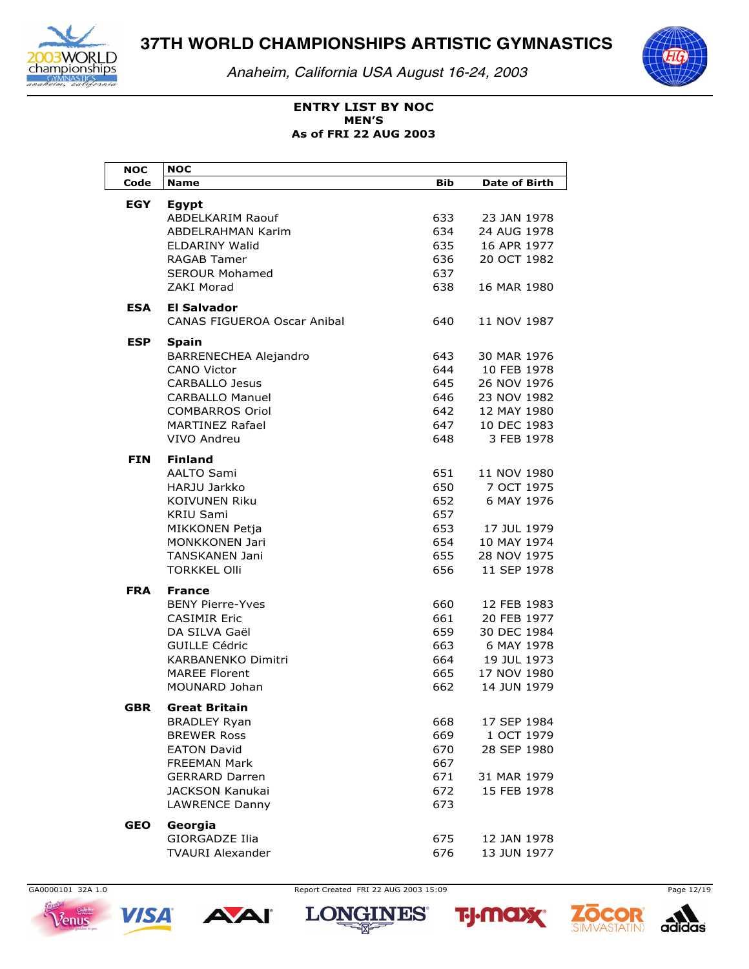

*Anaheim, California USA August 16-24, 2003*



### **ENTRY LIST BY NOC As of FRI 22 AUG 2003 MEN'S**

| <b>NOC</b> | <b>NOC</b>                                        |            |                            |
|------------|---------------------------------------------------|------------|----------------------------|
| Code       | <b>Name</b>                                       | <b>Bib</b> | <b>Date of Birth</b>       |
| <b>EGY</b> | Egypt                                             |            |                            |
|            | <b>ABDELKARIM Raouf</b>                           | 633        | 23 JAN 1978                |
|            | ABDELRAHMAN Karim                                 | 634        | 24 AUG 1978                |
|            | ELDARINY Walid                                    | 635        | 16 APR 1977                |
|            | RAGAB Tamer                                       | 636        | 20 OCT 1982                |
|            | <b>SEROUR Mohamed</b><br>ZAKI Morad               | 637<br>638 | 16 MAR 1980                |
|            |                                                   |            |                            |
| <b>ESA</b> | El Salvador<br><b>CANAS FIGUEROA Oscar Anibal</b> | 640        | 11 NOV 1987                |
| <b>ESP</b> | <b>Spain</b>                                      |            |                            |
|            | BARRENECHEA Alejandro                             | 643        | 30 MAR 1976                |
|            | <b>CANO Victor</b>                                | 644        | 10 FEB 1978                |
|            | <b>CARBALLO Jesus</b>                             | 645        | 26 NOV 1976                |
|            | <b>CARBALLO Manuel</b>                            | 646        | 23 NOV 1982                |
|            | <b>COMBARROS Oriol</b>                            | 642        | 12 MAY 1980                |
|            | <b>MARTINEZ Rafael</b>                            | 647        | 10 DEC 1983                |
|            | VIVO Andreu                                       | 648        | 3 FEB 1978                 |
|            |                                                   |            |                            |
| FIN        | <b>Finland</b>                                    |            |                            |
|            | AALTO Sami<br>HARJU Jarkko                        | 651<br>650 | 11 NOV 1980<br>7 OCT 1975  |
|            | <b>KOIVUNEN Riku</b>                              | 652        | 6 MAY 1976                 |
|            | KRIU Sami                                         | 657        |                            |
|            | MIKKONEN Petja                                    | 653        | 17 JUL 1979                |
|            | <b>MONKKONEN Jari</b>                             | 654        | 10 MAY 1974                |
|            | <b>TANSKANEN Jani</b>                             | 655        | 28 NOV 1975                |
|            | <b>TORKKEL Olli</b>                               | 656        | 11 SEP 1978                |
|            |                                                   |            |                            |
| <b>FRA</b> | <b>France</b><br><b>BENY Pierre-Yves</b>          | 660        |                            |
|            | <b>CASIMIR Eric</b>                               | 661        | 12 FEB 1983<br>20 FEB 1977 |
|            | DA SILVA Gaël                                     | 659        | 30 DEC 1984                |
|            | <b>GUILLE Cédric</b>                              | 663        | 6 MAY 1978                 |
|            | <b>KARBANENKO Dimitri</b>                         | 664        | 19 JUL 1973                |
|            | <b>MAREE Florent</b>                              | 665        | 17 NOV 1980                |
|            | MOUNARD Johan                                     | 662        | 14 JUN 1979                |
|            |                                                   |            |                            |
| GBR        | <b>Great Britain</b>                              |            |                            |
|            | <b>BRADLEY Ryan</b><br><b>BREWER Ross</b>         | 668        | 17 SEP 1984                |
|            | <b>EATON David</b>                                | 669<br>670 | 1 OCT 1979                 |
|            | FREEMAN Mark                                      | 667        | 28 SEP 1980                |
|            | <b>GERRARD Darren</b>                             | 671        | 31 MAR 1979                |
|            | <b>JACKSON Kanukai</b>                            | 672        | 15 FEB 1978                |
|            | LAWRENCE Danny                                    | 673        |                            |
|            |                                                   |            |                            |
| <b>GEO</b> | Georgia                                           |            |                            |
|            | <b>GIORGADZE Ilia</b>                             | 675        | 12 JAN 1978                |
|            | <b>TVAURI Alexander</b>                           | 676        | 13 JUN 1977                |



**VISA** 









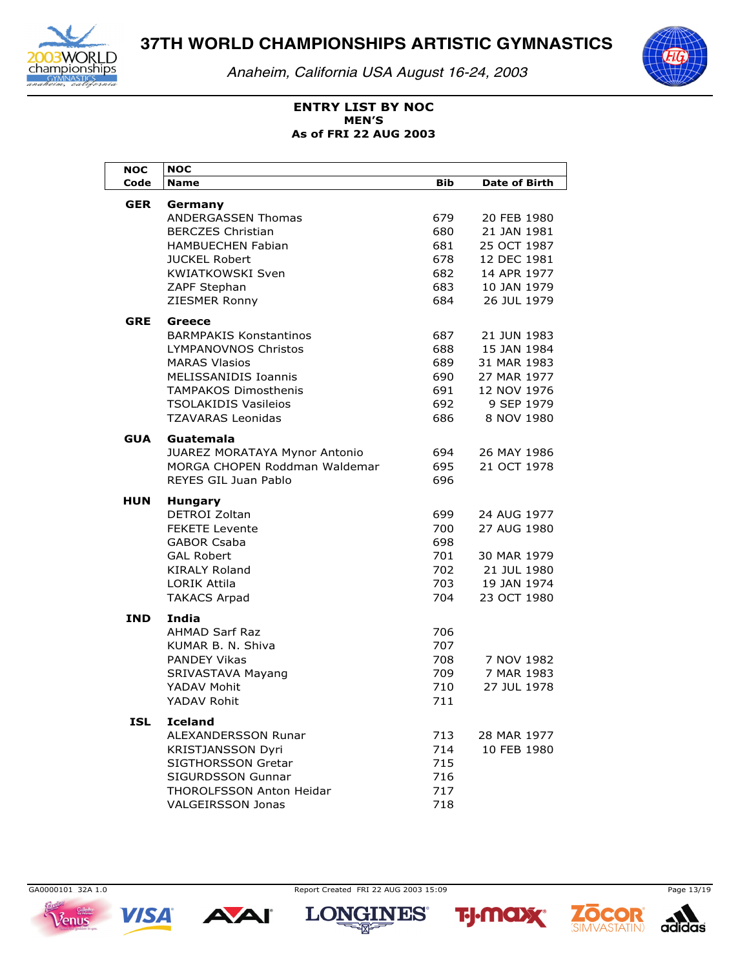

Anaheim, California USA August 16-24, 2003



### **ENTRY LIST BY NOC MEN'S** As of FRI 22 AUG 2003

| <b>NOC</b> | <b>NOC</b>                                                   |            |                      |
|------------|--------------------------------------------------------------|------------|----------------------|
| Code       | <b>Name</b>                                                  | <b>Bib</b> | <b>Date of Birth</b> |
| <b>GER</b> | Germany                                                      |            |                      |
|            | <b>ANDERGASSEN Thomas</b>                                    | 679.       | 20 FEB 1980          |
|            | <b>BERCZES Christian</b>                                     | 680        | 21 JAN 1981          |
|            | <b>HAMBUECHEN Fabian</b>                                     | 681        | 25 OCT 1987          |
|            | <b>JUCKEL Robert</b>                                         | 678        | 12 DEC 1981          |
|            | <b>KWIATKOWSKI Sven</b>                                      | 682        | 14 APR 1977          |
|            | ZAPF Stephan                                                 | 683        | 10 JAN 1979          |
|            | ZIESMER Ronny                                                | 684        | 26 JUL 1979          |
| <b>GRE</b> | Greece                                                       |            |                      |
|            | <b>BARMPAKIS Konstantinos</b>                                | 687        | 21 JUN 1983          |
|            | <b>LYMPANOVNOS Christos</b>                                  | 688        | 15 JAN 1984          |
|            | <b>MARAS Vlasios</b>                                         | 689        | 31 MAR 1983          |
|            | MELISSANIDIS Ioannis                                         | 690        | 27 MAR 1977          |
|            | <b>TAMPAKOS Dimosthenis</b>                                  | 691        | 12 NOV 1976          |
|            | <b>TSOLAKIDIS Vasileios</b>                                  | 692        | 9 SEP 1979           |
|            | <b>TZAVARAS Leonidas</b>                                     | 686        | 8 NOV 1980           |
|            |                                                              |            |                      |
| <b>GUA</b> | Guatemala                                                    |            |                      |
|            | JUAREZ MORATAYA Mynor Antonio                                | 694        | 26 MAY 1986          |
|            | MORGA CHOPEN Roddman Waldemar<br><b>REYES GIL Juan Pablo</b> | 695<br>696 | 21 OCT 1978          |
|            |                                                              |            |                      |
| HUN        | <b>Hungary</b>                                               |            |                      |
|            | DETROI Zoltan                                                | 699        | 24 AUG 1977          |
|            | <b>FEKETE Levente</b>                                        | 700        | 27 AUG 1980          |
|            | <b>GABOR Csaba</b>                                           | 698        |                      |
|            | <b>GAL Robert</b>                                            | 701        | 30 MAR 1979          |
|            | <b>KIRALY Roland</b>                                         | 702        | 21 JUL 1980          |
|            | <b>LORIK Attila</b>                                          | 703        | 19 JAN 1974          |
|            | <b>TAKACS Arpad</b>                                          | 704        | 23 OCT 1980          |
| <b>IND</b> | India                                                        |            |                      |
|            | <b>AHMAD Sarf Raz</b>                                        | 706        |                      |
|            | KUMAR B. N. Shiva                                            | 707        |                      |
|            | <b>PANDEY Vikas</b>                                          | 708        | 7 NOV 1982           |
|            | SRIVASTAVA Mayang                                            | 709        | 7 MAR 1983           |
|            | YADAV Mohit                                                  | 710        | 27 JUL 1978          |
|            | YADAV Rohit                                                  | 711        |                      |
| ISL        | <b>Iceland</b>                                               |            |                      |
|            | ALEXANDERSSON Runar                                          | 713        | 28 MAR 1977          |
|            | <b>KRISTJANSSON Dyri</b>                                     | 714        | 10 FEB 1980          |
|            | SIGTHORSSON Gretar                                           | 715        |                      |
|            | <b>SIGURDSSON Gunnar</b>                                     | 716        |                      |
|            | THOROLFSSON Anton Heidar                                     | 717        |                      |
|            | <b>VALGEIRSSON Jonas</b>                                     | 718        |                      |

GA0000101 32A 1.0 Venus



**AAI** 

Report Created FRI 22 AUG 2003 15:09

**2014** 







Page 13/19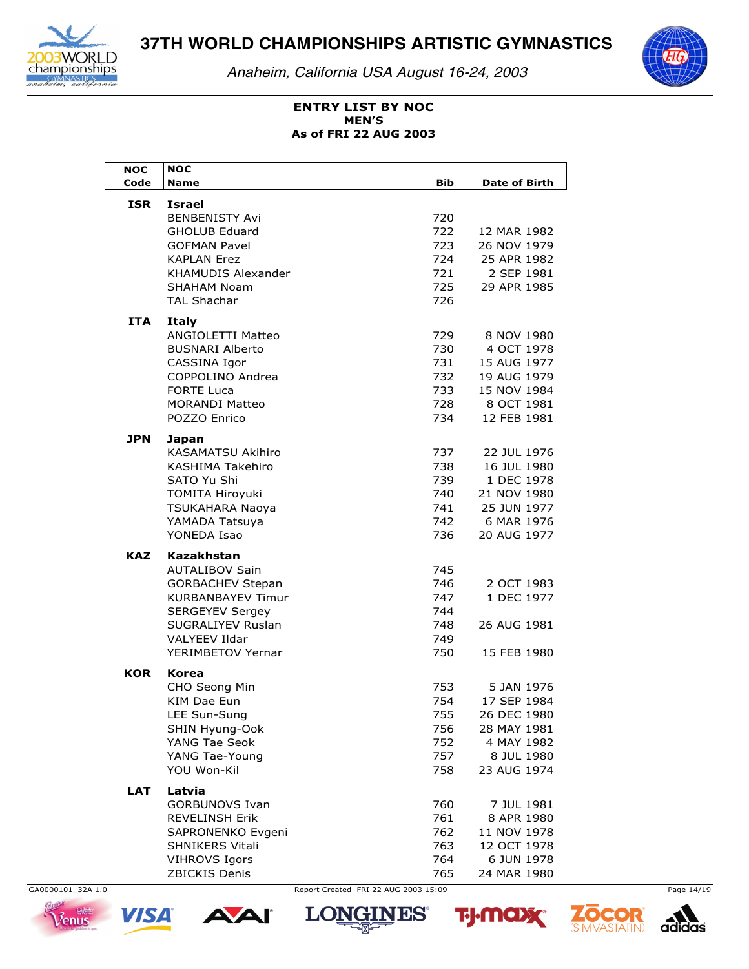

*Anaheim, California USA August 16-24, 2003*



### **ENTRY LIST BY NOC As of FRI 22 AUG 2003 MEN'S**

| <b>NOC</b> | <b>NOC</b>               |     |                      |
|------------|--------------------------|-----|----------------------|
| Code       | Name                     | Bib | <b>Date of Birth</b> |
| <b>ISR</b> | <b>Israel</b>            |     |                      |
|            | <b>BENBENISTY Avi</b>    | 720 |                      |
|            | <b>GHOLUB Eduard</b>     | 722 | 12 MAR 1982          |
|            | <b>GOFMAN Pavel</b>      | 723 | 26 NOV 1979          |
|            | <b>KAPLAN Erez</b>       | 724 | 25 APR 1982          |
|            | KHAMUDIS Alexander       | 721 | 2 SEP 1981           |
|            | SHAHAM Noam              | 725 | 29 APR 1985          |
|            | <b>TAL Shachar</b>       | 726 |                      |
|            |                          |     |                      |
| ITA        | Italy                    |     |                      |
|            | ANGIOLETTI Matteo        | 729 | 8 NOV 1980           |
|            | <b>BUSNARI Alberto</b>   | 730 | 4 OCT 1978           |
|            | CASSINA Igor             | 731 | 15 AUG 1977          |
|            | COPPOLINO Andrea         | 732 | 19 AUG 1979          |
|            | <b>FORTE Luca</b>        | 733 | 15 NOV 1984          |
|            | <b>MORANDI Matteo</b>    | 728 | 8 OCT 1981           |
|            | POZZO Enrico             | 734 | 12 FEB 1981          |
| <b>JPN</b> | Japan                    |     |                      |
|            | <b>KASAMATSU Akihiro</b> | 737 | 22 JUL 1976          |
|            | KASHIMA Takehiro         | 738 | 16 JUL 1980          |
|            | SATO Yu Shi              | 739 | 1 DEC 1978           |
|            | <b>TOMITA Hiroyuki</b>   | 740 | 21 NOV 1980          |
|            | TSUKAHARA Naoya          | 741 | 25 JUN 1977          |
|            | YAMADA Tatsuya           | 742 | 6 MAR 1976           |
|            | YONEDA Isao              | 736 | 20 AUG 1977          |
| <b>KAZ</b> | Kazakhstan               |     |                      |
|            | <b>AUTALIBOV Sain</b>    | 745 |                      |
|            | <b>GORBACHEV Stepan</b>  | 746 | 2 OCT 1983           |
|            | KURBANBAYEV Timur        | 747 | 1 DEC 1977           |
|            | <b>SERGEYEV Sergey</b>   | 744 |                      |
|            | SUGRALIYEV Ruslan        | 748 | 26 AUG 1981          |
|            | <b>VALYEEV Ildar</b>     | 749 |                      |
|            | YERIMBETOV Yernar        | 750 | 15 FEB 1980          |
| <b>KOR</b> |                          |     |                      |
|            | Korea<br>CHO Seong Min   | 753 | 5 JAN 1976           |
|            | KIM Dae Eun              | 754 | 17 SEP 1984          |
|            | LEE Sun-Sung             | 755 | 26 DEC 1980          |
|            | SHIN Hyung-Ook           | 756 | 28 MAY 1981          |
|            | YANG Tae Seok            | 752 | 4 MAY 1982           |
|            | YANG Tae-Young           | 757 | 8 JUL 1980           |
|            | YOU Won-Kil              | 758 | 23 AUG 1974          |
|            |                          |     |                      |
| LAT        | Latvia                   |     |                      |
|            | <b>GORBUNOVS Ivan</b>    | 760 | 7 JUL 1981           |
|            | <b>REVELINSH Erik</b>    | 761 | 8 APR 1980           |
|            | SAPRONENKO Evgeni        | 762 | 11 NOV 1978          |
|            | <b>SHNIKERS Vitali</b>   | 763 | 12 OCT 1978          |
|            | <b>VIHROVS Igors</b>     | 764 | 6 JUN 1978           |
|            | ZBICKIS Denis            | 765 | 24 MAR 1980          |





GA0000101\_32A 1.0 Report Created FRI 22 AUG 2003 15:09 Page 14/19**LONGINES®** 

**2014** 

**T. MOX** 

R

**SIMVASTATIN** 

adidas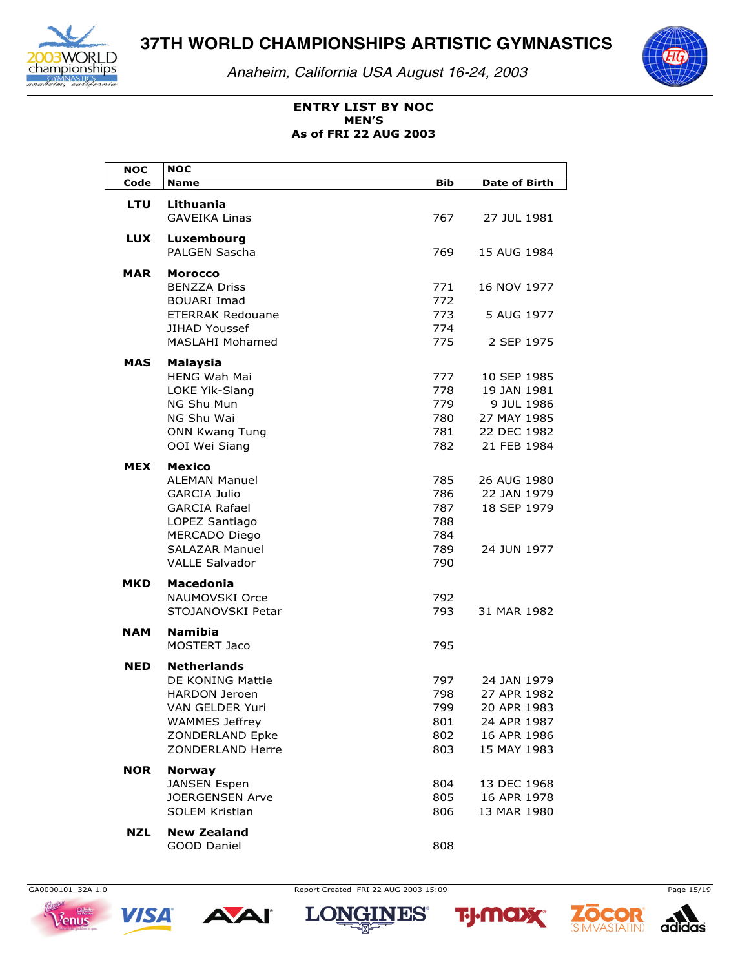

Anaheim, California USA August 16-24, 2003



## **ENTRY LIST BY NOC MEN'S** As of FRI 22 AUG 2003

| <b>NOC</b> | <b>NOC</b>                                                                                                                                                                |                                               |                                                                                        |
|------------|---------------------------------------------------------------------------------------------------------------------------------------------------------------------------|-----------------------------------------------|----------------------------------------------------------------------------------------|
| Code       | <b>Name</b>                                                                                                                                                               | <b>Bib</b>                                    | <b>Date of Birth</b>                                                                   |
| <b>LTU</b> | Lithuania<br><b>GAVEIKA Linas</b>                                                                                                                                         | 767                                           | 27 JUL 1981                                                                            |
| LUX        | Luxembourg<br>PALGEN Sascha                                                                                                                                               | 769                                           | 15 AUG 1984                                                                            |
| <b>MAR</b> | <b>Morocco</b><br><b>BENZZA Driss</b><br><b>BOUARI Imad</b><br><b>ETERRAK Redouane</b><br><b>JIHAD Youssef</b><br><b>MASLAHI Mohamed</b>                                  | 771<br>772<br>773<br>774<br>775               | 16 NOV 1977<br>5 AUG 1977<br>2 SEP 1975                                                |
| MAS        | Malaysia<br><b>HENG Wah Mai</b><br><b>LOKE Yik-Siang</b><br>NG Shu Mun<br>NG Shu Wai<br><b>ONN Kwang Tung</b><br>OOI Wei Siang                                            | 777<br>778<br>779<br>780<br>781<br>782        | 10 SEP 1985<br>19 JAN 1981<br>9 JUL 1986<br>27 MAY 1985<br>22 DEC 1982<br>21 FEB 1984  |
| <b>MEX</b> | Mexico<br><b>ALEMAN Manuel</b><br><b>GARCIA Julio</b><br><b>GARCIA Rafael</b><br>LOPEZ Santiago<br><b>MERCADO Diego</b><br><b>SALAZAR Manuel</b><br><b>VALLE Salvador</b> | 785<br>786<br>787<br>788<br>784<br>789<br>790 | 26 AUG 1980<br>22 JAN 1979<br>18 SEP 1979<br>24 JUN 1977                               |
| <b>MKD</b> | <b>Macedonia</b><br>NAUMOVSKI Orce<br>STOJANOVSKI Petar                                                                                                                   | 792<br>793                                    | 31 MAR 1982                                                                            |
| <b>NAM</b> | <b>Namibia</b><br><b>MOSTERT Jaco</b>                                                                                                                                     | 795                                           |                                                                                        |
| <b>NED</b> | <b>Netherlands</b><br>DE KONING Mattie<br><b>HARDON Jeroen</b><br>VAN GELDER Yuri<br><b>WAMMES Jeffrey</b><br>ZONDERLAND Epke<br>ZONDERLAND Herre                         | 797<br>798<br>799<br>801<br>802<br>803        | 24 JAN 1979<br>27 APR 1982<br>20 APR 1983<br>24 APR 1987<br>16 APR 1986<br>15 MAY 1983 |
| <b>NOR</b> | <b>Norway</b><br><b>JANSEN Espen</b><br><b>JOERGENSEN Arve</b><br><b>SOLEM Kristian</b>                                                                                   | 804<br>805<br>806                             | 13 DEC 1968<br>16 APR 1978<br>13 MAR 1980                                              |
| <b>NZL</b> | <b>New Zealand</b><br>GOOD Daniel                                                                                                                                         | 808                                           |                                                                                        |





Report Created FRI 22 AUG 2003 15:09







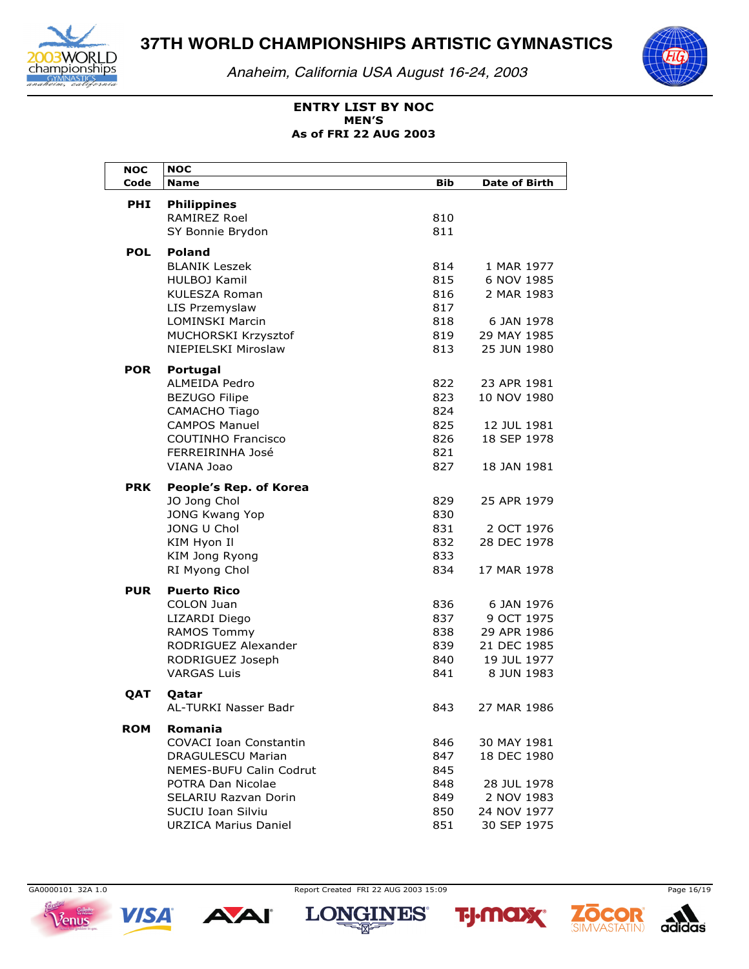

*Anaheim, California USA August 16-24, 2003*



### **ENTRY LIST BY NOC As of FRI 22 AUG 2003 MEN'S**

| <b>NOC</b> | <b>NOC</b>                            |            |                      |
|------------|---------------------------------------|------------|----------------------|
| Code       | <b>Name</b>                           | <b>Bib</b> | <b>Date of Birth</b> |
| <b>PHI</b> | <b>Philippines</b>                    |            |                      |
|            | <b>RAMIREZ Roel</b>                   | 810        |                      |
|            | SY Bonnie Brydon                      | 811        |                      |
|            |                                       |            |                      |
| <b>POL</b> | <b>Poland</b><br><b>BLANIK Leszek</b> | 814        | 1 MAR 1977           |
|            | <b>HULBOJ Kamil</b>                   | 815        | 6 NOV 1985           |
|            | <b>KULESZA Roman</b>                  | 816        | 2 MAR 1983           |
|            | LIS Przemyslaw                        | 817        |                      |
|            | <b>LOMINSKI Marcin</b>                | 818        | 6 JAN 1978           |
|            | MUCHORSKI Krzysztof                   | 819        | 29 MAY 1985          |
|            | NIEPIELSKI Miroslaw                   | 813        | 25 JUN 1980          |
|            |                                       |            |                      |
| <b>POR</b> | Portugal                              |            |                      |
|            | <b>ALMEIDA Pedro</b>                  | 822        | 23 APR 1981          |
|            | <b>BEZUGO Filipe</b>                  | 823        | 10 NOV 1980          |
|            | CAMACHO Tiago                         | 824        |                      |
|            | <b>CAMPOS Manuel</b>                  | 825        | 12 JUL 1981          |
|            | <b>COUTINHO Francisco</b>             | 826        | 18 SEP 1978          |
|            | FERREIRINHA José                      | 821        |                      |
|            | VIANA Joao                            | 827        | 18 JAN 1981          |
| <b>PRK</b> | People's Rep. of Korea                |            |                      |
|            | JO Jong Chol                          | 829        | 25 APR 1979          |
|            | <b>JONG Kwang Yop</b>                 | 830        |                      |
|            | JONG U Chol                           | 831        | 2 OCT 1976           |
|            | KIM Hyon Il                           | 832        | 28 DEC 1978          |
|            | KIM Jong Ryong                        | 833        |                      |
|            | RI Myong Chol                         | 834        | 17 MAR 1978          |
| <b>PUR</b> | <b>Puerto Rico</b>                    |            |                      |
|            | COLON Juan                            | 836        | 6 JAN 1976           |
|            | LIZARDI Diego                         | 837        | 9 OCT 1975           |
|            | <b>RAMOS Tommy</b>                    | 838        | 29 APR 1986          |
|            | RODRIGUEZ Alexander                   | 839        | 21 DEC 1985          |
|            | RODRIGUEZ Joseph                      | 840        | 19 JUL 1977          |
|            | <b>VARGAS Luis</b>                    | 841        | 8 JUN 1983           |
| QAT        | Oatar                                 |            |                      |
|            | AL-TURKI Nasser Badr                  | 843        | 27 MAR 1986          |
|            |                                       |            |                      |
| <b>ROM</b> | Romania                               |            |                      |
|            | <b>COVACI Ioan Constantin</b>         | 846        | 30 MAY 1981          |
|            | DRAGULESCU Marian                     | 847        | 18 DEC 1980          |
|            | <b>NEMES-BUFU Calin Codrut</b>        | 845        |                      |
|            | POTRA Dan Nicolae                     | 848        | 28 JUL 1978          |
|            | <b>SELARIU Razvan Dorin</b>           | 849        | 2 NOV 1983           |
|            | SUCIU Ioan Silviu                     | 850        | 24 NOV 1977          |
|            | <b>URZICA Marius Daniel</b>           | 851        | 30 SEP 1975          |



GA0000101\_32A 1.0 Report Created FRI 22 AUG 2003 15:09 Page 16/19









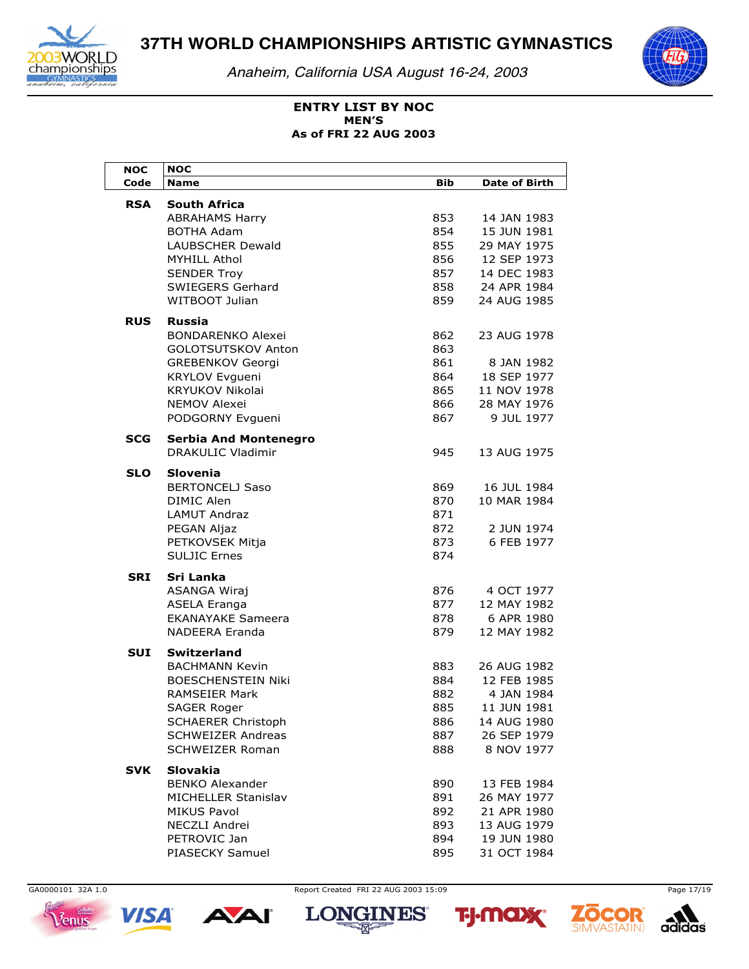

*Anaheim, California USA August 16-24, 2003*



### **ENTRY LIST BY NOC As of FRI 22 AUG 2003 MEN'S**

| <b>NOC</b> | <b>NOC</b>                               |            |                      |
|------------|------------------------------------------|------------|----------------------|
| Code       | <b>Name</b>                              | <b>Bib</b> | <b>Date of Birth</b> |
| RSA        | South Africa                             |            |                      |
|            | <b>ABRAHAMS Harry</b>                    | 853        | 14 JAN 1983          |
|            | BOTHA Adam                               | 854        | 15 JUN 1981          |
|            | LAUBSCHER Dewald                         | 855        | 29 MAY 1975          |
|            | MYHILL Athol                             | 856        | 12 SEP 1973          |
|            | <b>SENDER Troy</b>                       | 857        | 14 DEC 1983          |
|            | SWIEGERS Gerhard                         | 858        | 24 APR 1984          |
|            | WITBOOT Julian                           | 859        | 24 AUG 1985          |
| <b>RUS</b> | <b>Russia</b>                            |            |                      |
|            | <b>BONDARENKO Alexei</b>                 | 862        | 23 AUG 1978          |
|            | GOLOTSUTSKOV Anton                       | 863        |                      |
|            | <b>GREBENKOV Georgi</b>                  | 861        | 8 JAN 1982           |
|            | KRYLOV Evgueni                           | 864        | 18 SEP 1977          |
|            | <b>KRYUKOV Nikolai</b>                   | 865        | 11 NOV 1978          |
|            | <b>NEMOV Alexei</b>                      | 866        | 28 MAY 1976          |
|            | PODGORNY Evgueni                         | 867        | 9 JUL 1977           |
| <b>SCG</b> | <b>Serbia And Montenegro</b>             |            |                      |
|            | <b>DRAKULIC Vladimir</b>                 | 945        | 13 AUG 1975          |
|            |                                          |            |                      |
| <b>SLO</b> | <b>Slovenia</b>                          |            |                      |
|            | <b>BERTONCELJ Saso</b>                   | 869        | 16 JUL 1984          |
|            | <b>DIMIC Alen</b><br><b>LAMUT Andraz</b> | 870<br>871 | 10 MAR 1984          |
|            |                                          | 872        | 2 JUN 1974           |
|            | PEGAN Aljaz<br>PETKOVSEK Mitja           | 873        | 6 FEB 1977           |
|            | <b>SULJIC Ernes</b>                      | 874        |                      |
|            |                                          |            |                      |
| <b>SRI</b> | Sri Lanka                                |            |                      |
|            | ASANGA Wiraj                             | 876        | 4 OCT 1977           |
|            | ASELA Eranga                             | 877        | 12 MAY 1982          |
|            | <b>EKANAYAKE Sameera</b>                 | 878        | 6 APR 1980           |
|            | <b>NADEERA Eranda</b>                    | 879        | 12 MAY 1982          |
| <b>SUI</b> | <b>Switzerland</b>                       |            |                      |
|            | <b>BACHMANN Kevin</b>                    | 883        | 26 AUG 1982          |
|            | <b>BOESCHENSTEIN Niki</b>                | 884        | 12 FEB 1985          |
|            | <b>RAMSEIER Mark</b>                     | 882        | 4 JAN 1984           |
|            | SAGER Roger                              | 885        | 11 JUN 1981          |
|            | <b>SCHAERER Christoph</b>                | 886        | 14 AUG 1980          |
|            | <b>SCHWEIZER Andreas</b>                 | 887        | 26 SEP 1979          |
|            | <b>SCHWEIZER Roman</b>                   | 888        | 8 NOV 1977           |
| <b>SVK</b> | <b>Slovakia</b>                          |            |                      |
|            | <b>BENKO Alexander</b>                   | 890        | 13 FEB 1984          |
|            | MICHELLER Stanislav                      | 891        | 26 MAY 1977          |
|            | MIKUS Pavol                              | 892        | 21 APR 1980          |
|            | NECZLI Andrei                            | 893        | 13 AUG 1979          |
|            | PETROVIC Jan                             | 894        | 19 JUN 1980          |
|            | PIASECKY Samuel                          | 895        | 31 OCT 1984          |





GA0000101 32A 1.0 Page 17/19







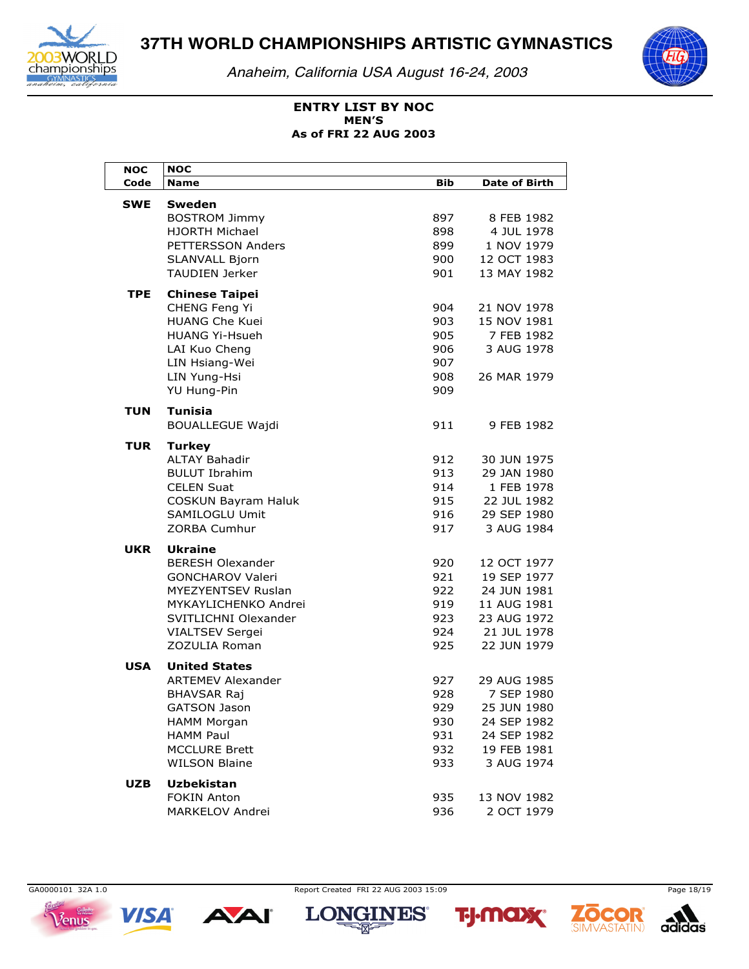

*Anaheim, California USA August 16-24, 2003*



### **ENTRY LIST BY NOC As of FRI 22 AUG 2003 MEN'S**

| NOC        | NOC                                                |            |                            |
|------------|----------------------------------------------------|------------|----------------------------|
| Code       | <b>Name</b>                                        | <b>Bib</b> | <b>Date of Birth</b>       |
| <b>SWE</b> | Sweden                                             |            |                            |
|            | <b>BOSTROM Jimmy</b>                               | 897        | 8 FEB 1982                 |
|            | HJORTH Michael                                     | 898        | 4 JUL 1978                 |
|            | PETTERSSON Anders                                  | 899        | 1 NOV 1979                 |
|            | SLANVALL Bjorn                                     | 900        | 12 OCT 1983                |
|            | <b>TAUDIEN Jerker</b>                              | 901        | 13 MAY 1982                |
| <b>TPE</b> | <b>Chinese Taipei</b>                              |            |                            |
|            | CHENG Feng Yi                                      | 904        | 21 NOV 1978                |
|            | <b>HUANG Che Kuei</b>                              | 903        | 15 NOV 1981                |
|            | <b>HUANG Yi-Hsueh</b>                              | 905        | 7 FEB 1982                 |
|            | LAI Kuo Cheng                                      | 906        | 3 AUG 1978                 |
|            | LIN Hsiang-Wei                                     | 907        |                            |
|            | LIN Yung-Hsi                                       | 908        | 26 MAR 1979                |
|            | YU Hung-Pin                                        | 909        |                            |
| <b>TUN</b> | <b>Tunisia</b>                                     |            |                            |
|            | <b>BOUALLEGUE Wajdi</b>                            | 911        | 9 FEB 1982                 |
|            |                                                    |            |                            |
| TUR        | <b>Turkey</b>                                      |            |                            |
|            | <b>ALTAY Bahadir</b>                               | 912        | 30 JUN 1975<br>29 JAN 1980 |
|            | <b>BULUT Ibrahim</b><br><b>CELEN Suat</b>          | 913<br>914 | 1 FEB 1978                 |
|            | <b>COSKUN Bayram Haluk</b>                         | 915        | 22 JUL 1982                |
|            | SAMILOGLU Umit                                     | 916        | 29 SEP 1980                |
|            | ZORBA Cumhur                                       | 917        | 3 AUG 1984                 |
|            |                                                    |            |                            |
| UKR        | <b>Ukraine</b>                                     |            |                            |
|            | <b>BERESH Olexander</b><br><b>GONCHAROV Valeri</b> | 920<br>921 | 12 OCT 1977<br>19 SEP 1977 |
|            | <b>MYEZYENTSEV Ruslan</b>                          | 922        | 24 JUN 1981                |
|            | MYKAYLICHENKO Andrei                               | 919        | 11 AUG 1981                |
|            | SVITLICHNI Olexander                               | 923        | 23 AUG 1972                |
|            | <b>VIALTSEV Sergei</b>                             | 924        | 21 JUL 1978                |
|            | ZOZULIA Roman                                      | 925        | 22 JUN 1979                |
|            |                                                    |            |                            |
| USA        | <b>United States</b><br><b>ARTEMEV Alexander</b>   | 927        | 29 AUG 1985                |
|            | <b>BHAVSAR Raj</b>                                 | 928        | 7 SEP 1980                 |
|            | <b>GATSON Jason</b>                                | 929        | 25 JUN 1980                |
|            | <b>HAMM Morgan</b>                                 | 930        | 24 SEP 1982                |
|            | <b>HAMM Paul</b>                                   | 931        | 24 SEP 1982                |
|            | <b>MCCLURE Brett</b>                               | 932        | 19 FEB 1981                |
|            | <b>WILSON Blaine</b>                               | 933        | 3 AUG 1974                 |
|            |                                                    |            |                            |
| <b>UZB</b> | <b>Uzbekistan</b><br><b>FOKIN Anton</b>            |            |                            |
|            | MARKELOV Andrei                                    | 935<br>936 | 13 NOV 1982<br>2 OCT 1979  |
|            |                                                    |            |                            |



GA0000101\_32A 1.0 Report Created FRI 22 AUG 2003 15:09 Page 18/19